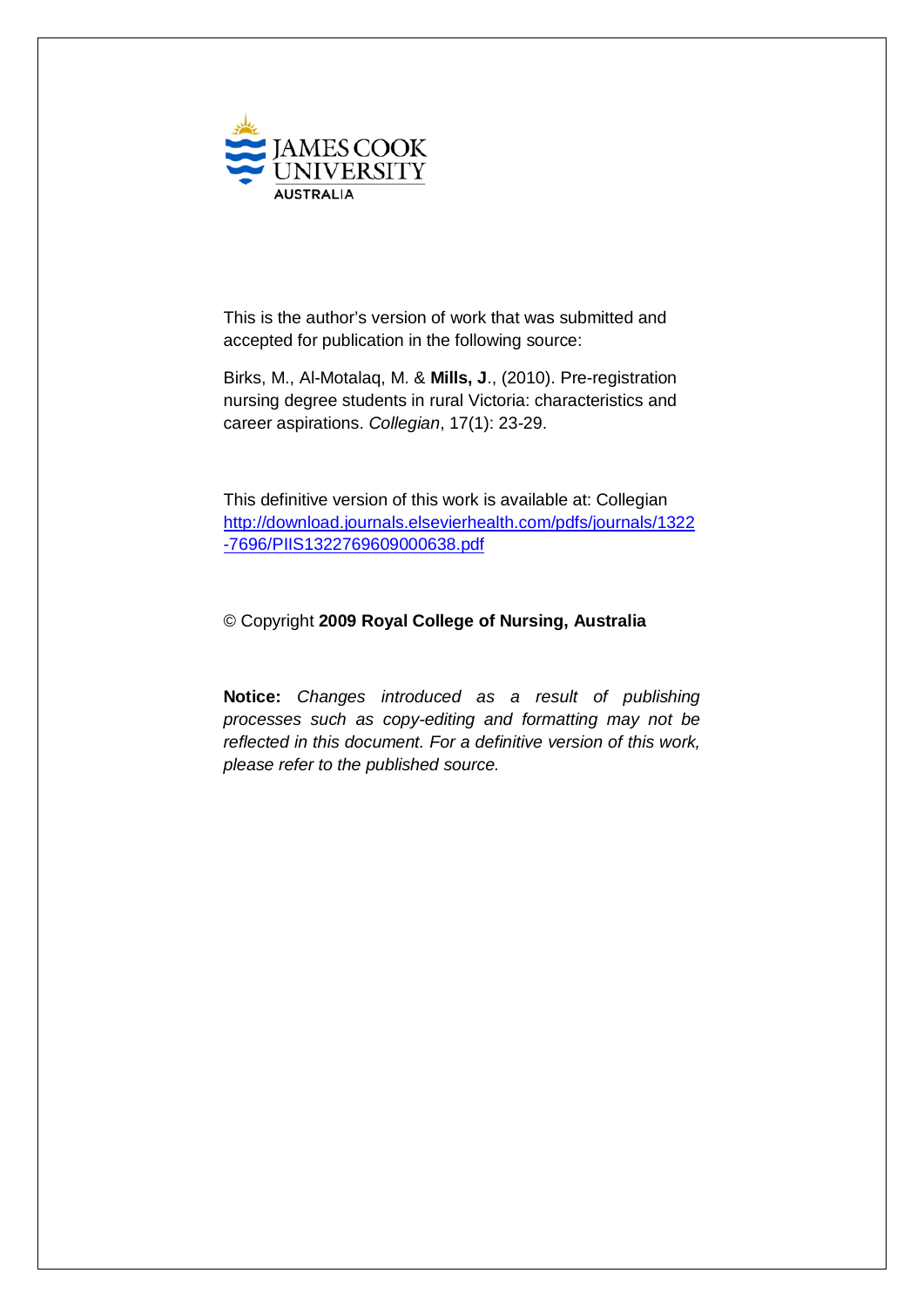

This is the author's version of work that was submitted and accepted for publication in the following source:

Birks, M., Al-Motalaq, M. & **Mills, J**., (2010). Pre-registration nursing degree students in rural Victoria: characteristics and career aspirations. *Collegian*, 17(1): 23-29.

This definitive version of this work is available at: Collegian [http://download.journals.elsevierhealth.com/pdfs/journals/1322](http://download.journals.elsevierhealth.com/pdfs/journals/1322-7696/PIIS1322769609000638.pdf) [-7696/PIIS1322769609000638.pdf](http://download.journals.elsevierhealth.com/pdfs/journals/1322-7696/PIIS1322769609000638.pdf)

## © Copyright **2009 Royal College of Nursing, Australia**

**Notice:** *Changes introduced as a result of publishing processes such as copy-editing and formatting may not be reflected in this document. For a definitive version of this work, please refer to the published source.*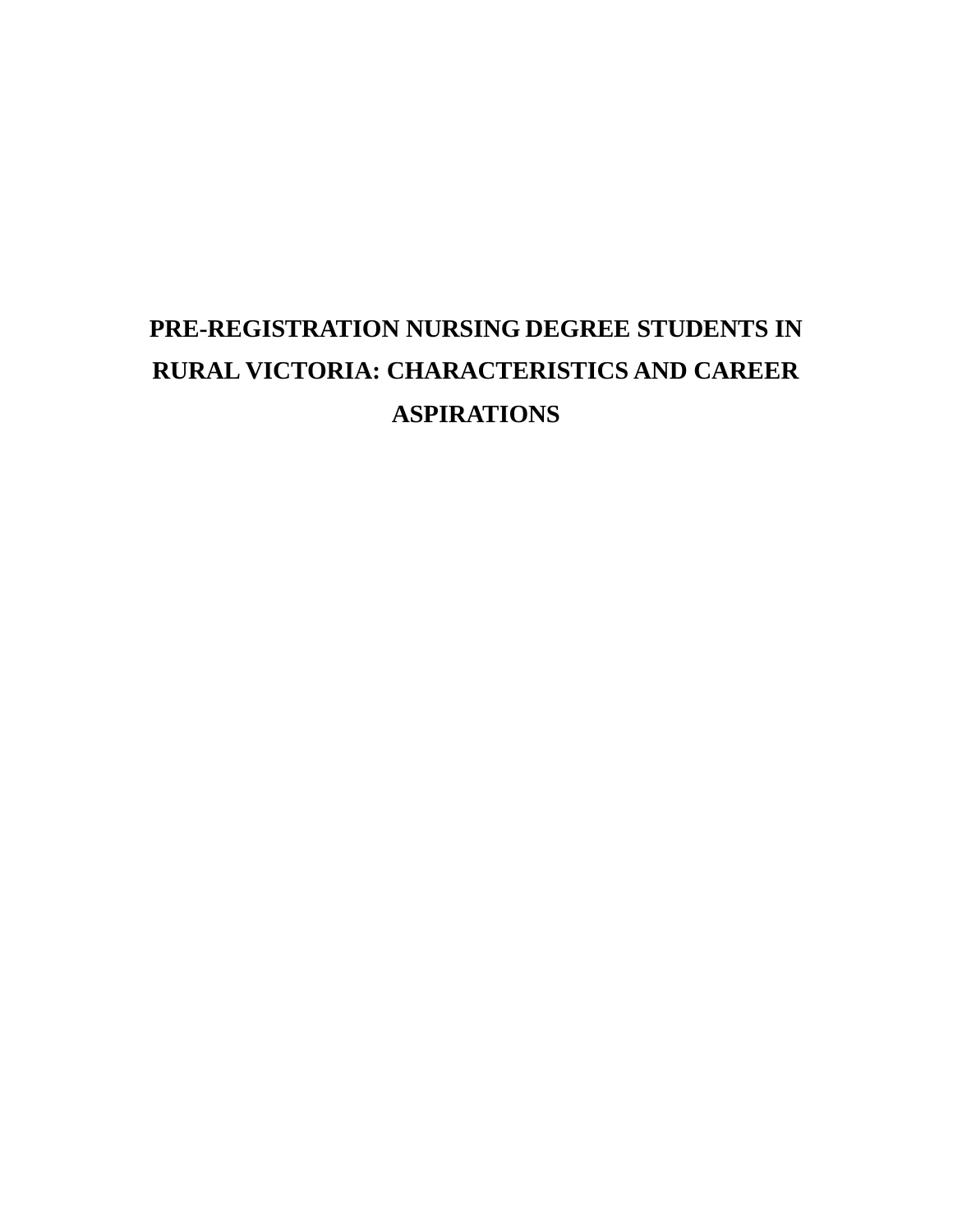# **PRE-REGISTRATION NURSING DEGREE STUDENTS IN RURAL VICTORIA: CHARACTERISTICS AND CAREER ASPIRATIONS**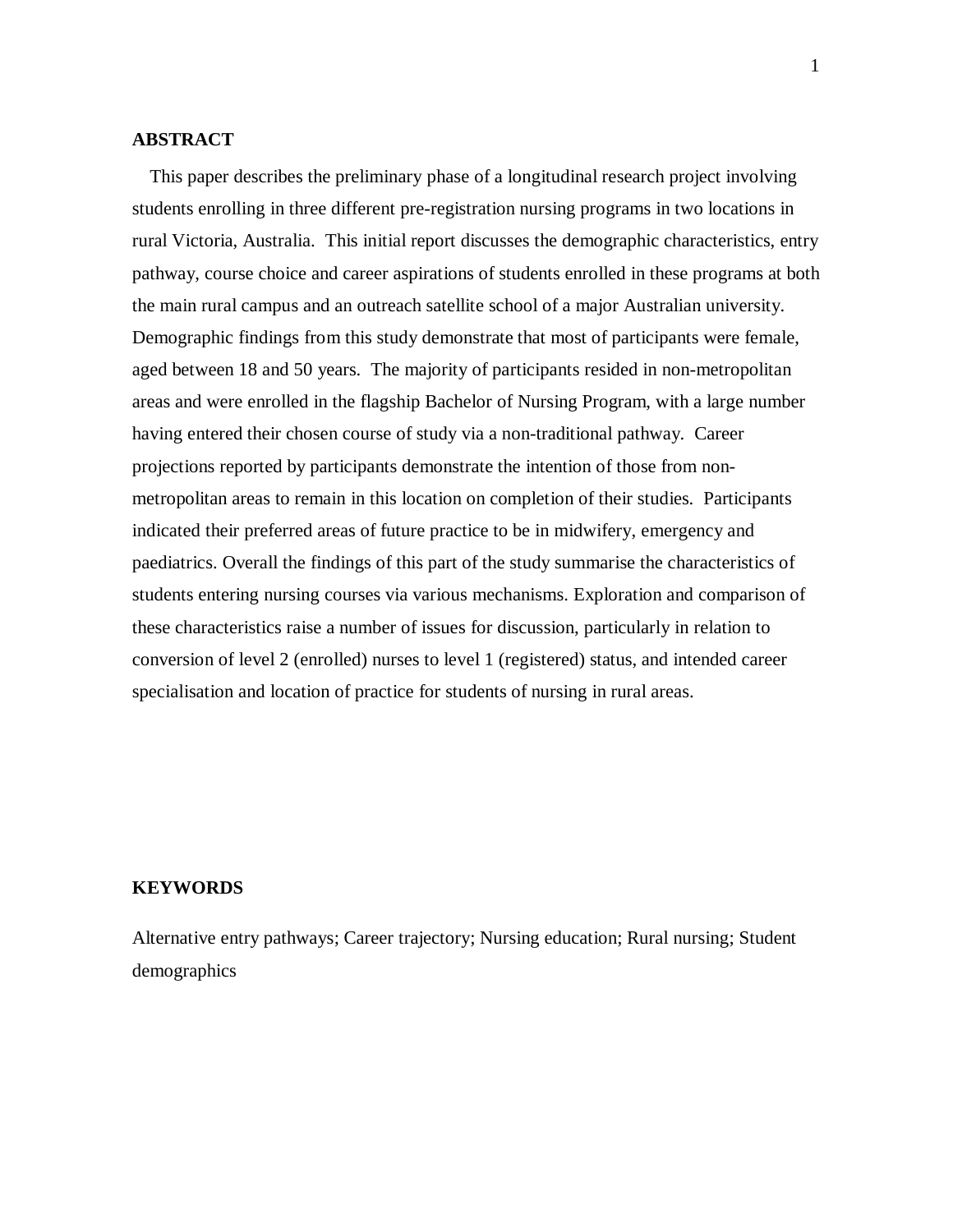#### **ABSTRACT**

This paper describes the preliminary phase of a longitudinal research project involving students enrolling in three different pre-registration nursing programs in two locations in rural Victoria, Australia. This initial report discusses the demographic characteristics, entry pathway, course choice and career aspirations of students enrolled in these programs at both the main rural campus and an outreach satellite school of a major Australian university. Demographic findings from this study demonstrate that most of participants were female, aged between 18 and 50 years. The majority of participants resided in non-metropolitan areas and were enrolled in the flagship Bachelor of Nursing Program, with a large number having entered their chosen course of study via a non-traditional pathway. Career projections reported by participants demonstrate the intention of those from nonmetropolitan areas to remain in this location on completion of their studies. Participants indicated their preferred areas of future practice to be in midwifery, emergency and paediatrics. Overall the findings of this part of the study summarise the characteristics of students entering nursing courses via various mechanisms. Exploration and comparison of these characteristics raise a number of issues for discussion, particularly in relation to conversion of level 2 (enrolled) nurses to level 1 (registered) status, and intended career specialisation and location of practice for students of nursing in rural areas.

## **KEYWORDS**

Alternative entry pathways; Career trajectory; Nursing education; Rural nursing; Student demographics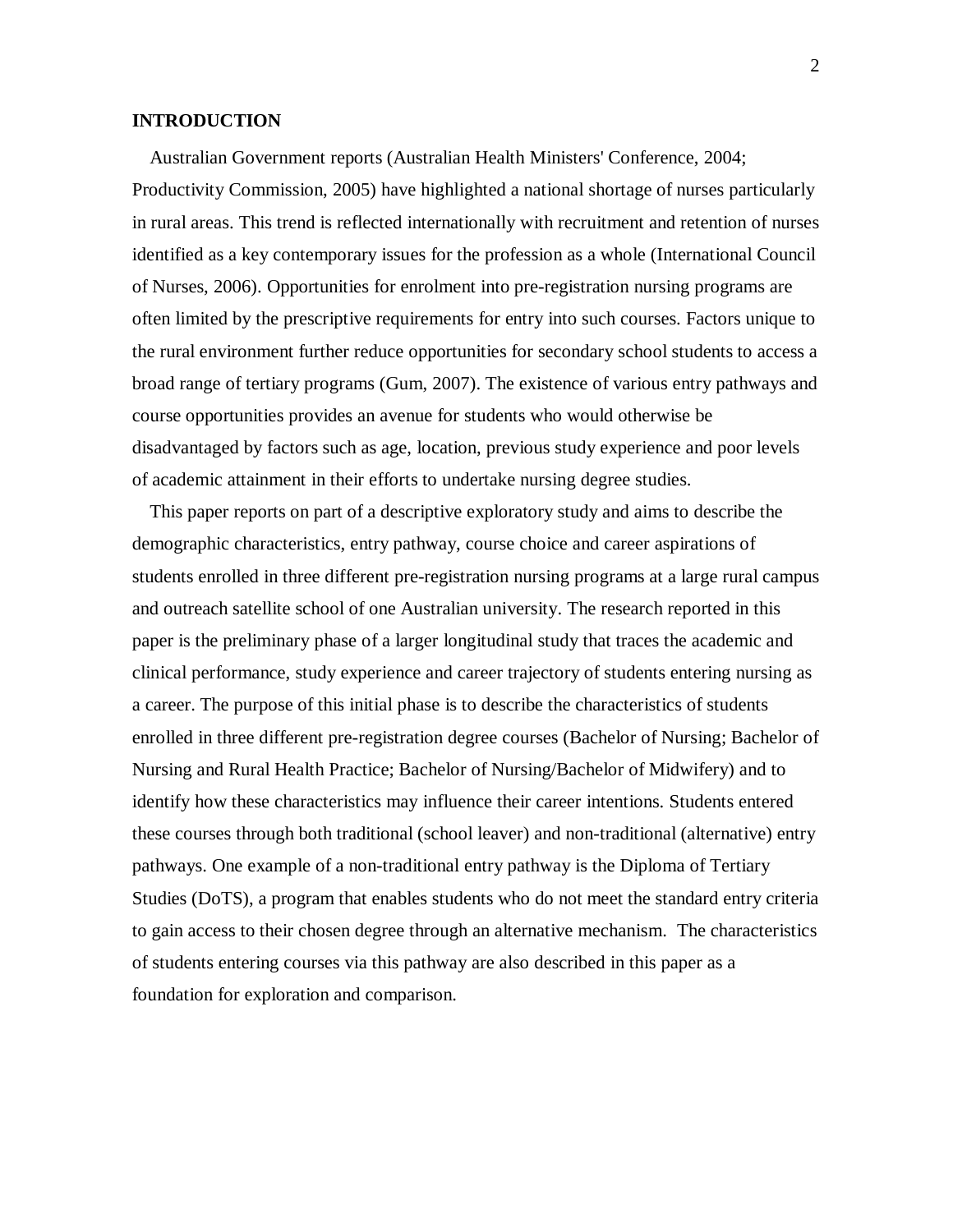#### **INTRODUCTION**

Australian Government reports (Australian Health Ministers' Conference, 2004; Productivity Commission, 2005) have highlighted a national shortage of nurses particularly in rural areas. This trend is reflected internationally with recruitment and retention of nurses identified as a key contemporary issues for the profession as a whole (International Council of Nurses, 2006). Opportunities for enrolment into pre-registration nursing programs are often limited by the prescriptive requirements for entry into such courses. Factors unique to the rural environment further reduce opportunities for secondary school students to access a broad range of tertiary programs (Gum, 2007). The existence of various entry pathways and course opportunities provides an avenue for students who would otherwise be disadvantaged by factors such as age, location, previous study experience and poor levels of academic attainment in their efforts to undertake nursing degree studies.

This paper reports on part of a descriptive exploratory study and aims to describe the demographic characteristics, entry pathway, course choice and career aspirations of students enrolled in three different pre-registration nursing programs at a large rural campus and outreach satellite school of one Australian university. The research reported in this paper is the preliminary phase of a larger longitudinal study that traces the academic and clinical performance, study experience and career trajectory of students entering nursing as a career. The purpose of this initial phase is to describe the characteristics of students enrolled in three different pre-registration degree courses (Bachelor of Nursing; Bachelor of Nursing and Rural Health Practice; Bachelor of Nursing/Bachelor of Midwifery) and to identify how these characteristics may influence their career intentions. Students entered these courses through both traditional (school leaver) and non-traditional (alternative) entry pathways. One example of a non-traditional entry pathway is the Diploma of Tertiary Studies (DoTS), a program that enables students who do not meet the standard entry criteria to gain access to their chosen degree through an alternative mechanism. The characteristics of students entering courses via this pathway are also described in this paper as a foundation for exploration and comparison.

2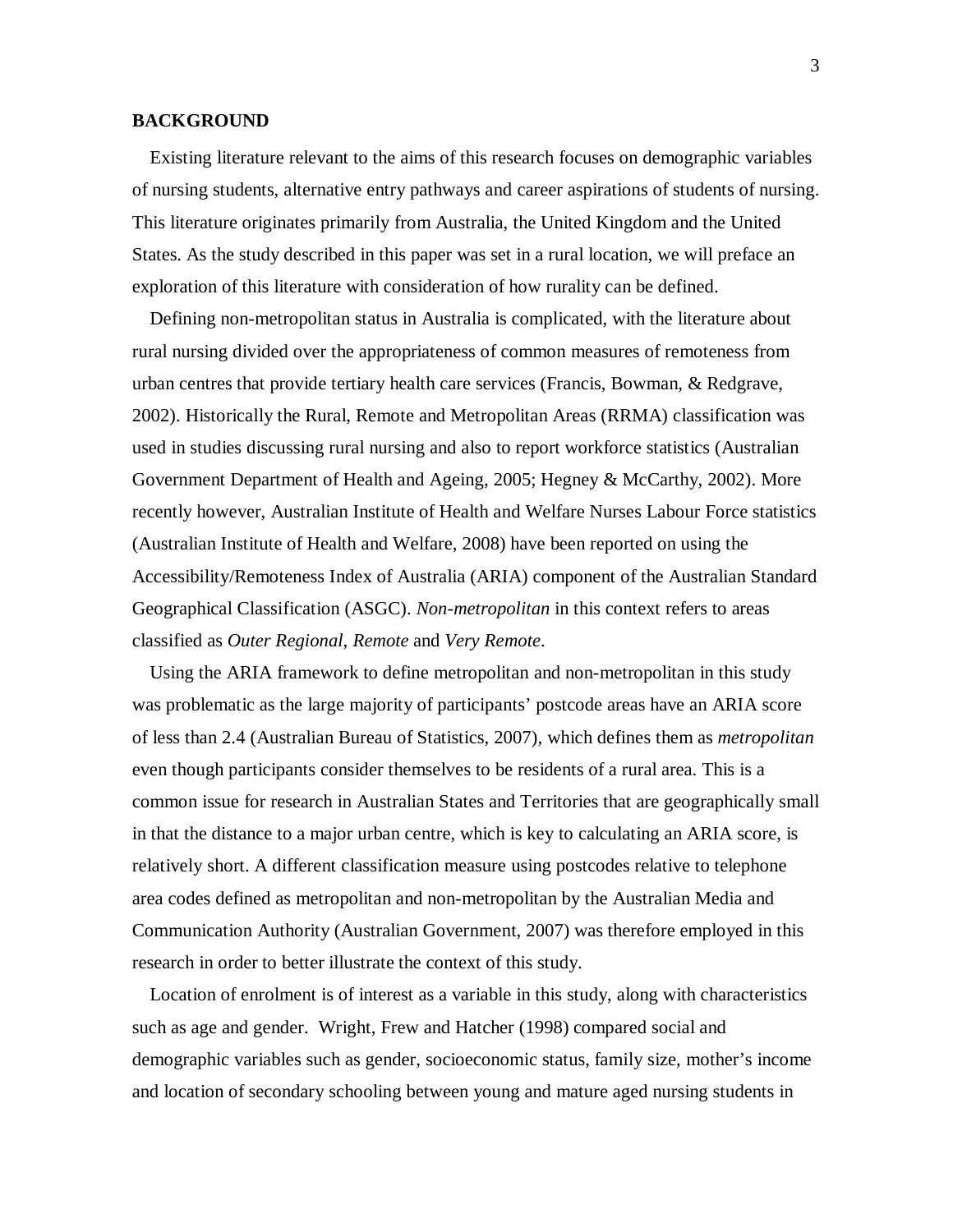#### **BACKGROUND**

Existing literature relevant to the aims of this research focuses on demographic variables of nursing students, alternative entry pathways and career aspirations of students of nursing. This literature originates primarily from Australia, the United Kingdom and the United States. As the study described in this paper was set in a rural location, we will preface an exploration of this literature with consideration of how rurality can be defined.

Defining non-metropolitan status in Australia is complicated, with the literature about rural nursing divided over the appropriateness of common measures of remoteness from urban centres that provide tertiary health care services (Francis, Bowman, & Redgrave, 2002). Historically the Rural, Remote and Metropolitan Areas (RRMA) classification was used in studies discussing rural nursing and also to report workforce statistics (Australian Government Department of Health and Ageing, 2005; Hegney & McCarthy, 2002). More recently however, Australian Institute of Health and Welfare Nurses Labour Force statistics (Australian Institute of Health and Welfare, 2008) have been reported on using the Accessibility/Remoteness Index of Australia (ARIA) component of the Australian Standard Geographical Classification (ASGC). *Non-metropolitan* in this context refers to areas classified as *Outer Regional*, *Remote* and *Very Remote*.

Using the ARIA framework to define metropolitan and non-metropolitan in this study was problematic as the large majority of participants' postcode areas have an ARIA score of less than 2.4 (Australian Bureau of Statistics, 2007), which defines them as *metropolitan* even though participants consider themselves to be residents of a rural area. This is a common issue for research in Australian States and Territories that are geographically small in that the distance to a major urban centre, which is key to calculating an ARIA score, is relatively short. A different classification measure using postcodes relative to telephone area codes defined as metropolitan and non-metropolitan by the Australian Media and Communication Authority (Australian Government, 2007) was therefore employed in this research in order to better illustrate the context of this study.

Location of enrolment is of interest as a variable in this study, along with characteristics such as age and gender. Wright, Frew and Hatcher (1998) compared social and demographic variables such as gender, socioeconomic status, family size, mother's income and location of secondary schooling between young and mature aged nursing students in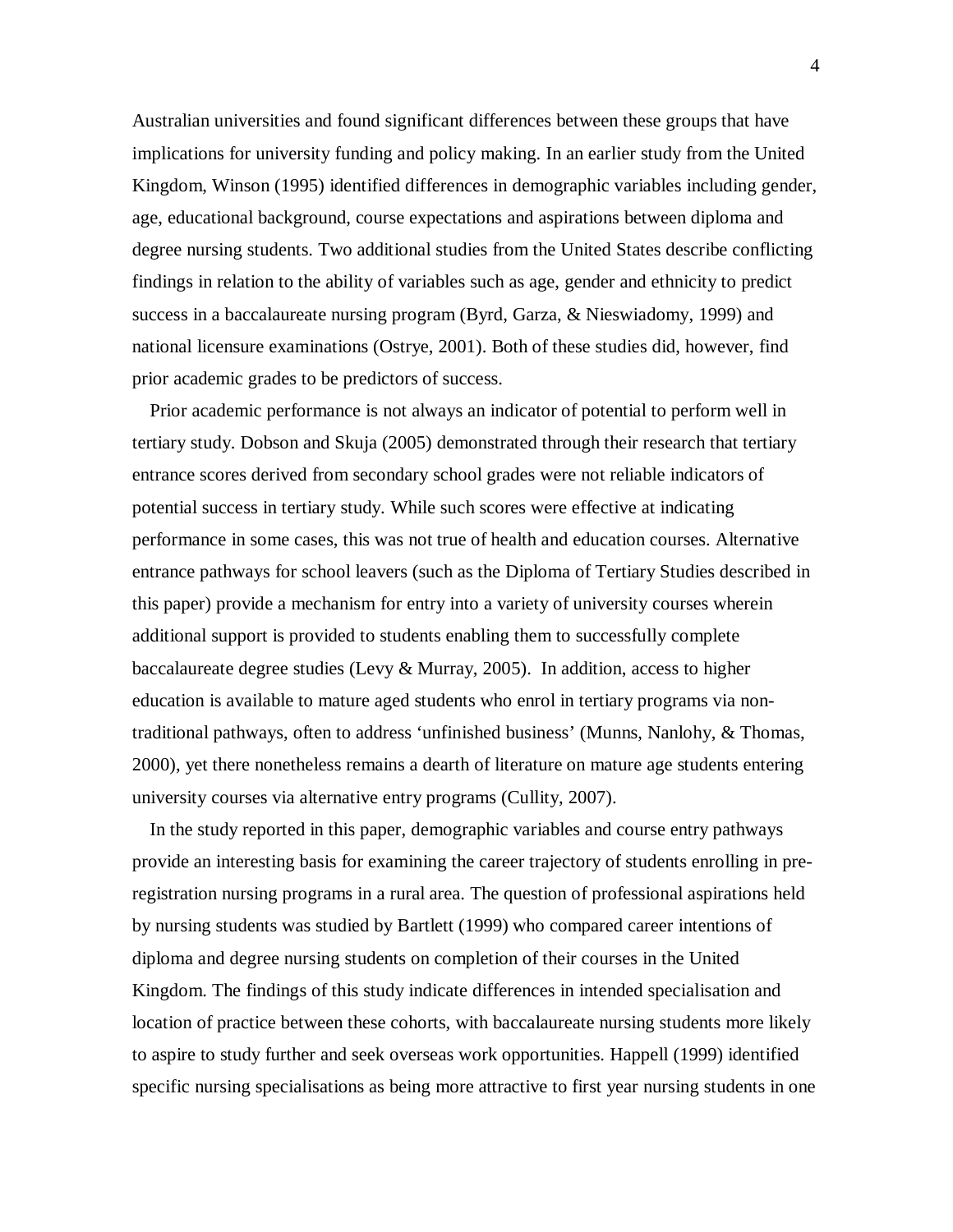Australian universities and found significant differences between these groups that have implications for university funding and policy making. In an earlier study from the United Kingdom, Winson (1995) identified differences in demographic variables including gender, age, educational background, course expectations and aspirations between diploma and degree nursing students. Two additional studies from the United States describe conflicting findings in relation to the ability of variables such as age, gender and ethnicity to predict success in a baccalaureate nursing program (Byrd, Garza, & Nieswiadomy, 1999) and national licensure examinations (Ostrye, 2001). Both of these studies did, however, find prior academic grades to be predictors of success.

Prior academic performance is not always an indicator of potential to perform well in tertiary study. Dobson and Skuja (2005) demonstrated through their research that tertiary entrance scores derived from secondary school grades were not reliable indicators of potential success in tertiary study. While such scores were effective at indicating performance in some cases, this was not true of health and education courses. Alternative entrance pathways for school leavers (such as the Diploma of Tertiary Studies described in this paper) provide a mechanism for entry into a variety of university courses wherein additional support is provided to students enabling them to successfully complete baccalaureate degree studies (Levy & Murray, 2005). In addition, access to higher education is available to mature aged students who enrol in tertiary programs via nontraditional pathways, often to address 'unfinished business' (Munns, Nanlohy, & Thomas, 2000), yet there nonetheless remains a dearth of literature on mature age students entering university courses via alternative entry programs (Cullity, 2007).

In the study reported in this paper, demographic variables and course entry pathways provide an interesting basis for examining the career trajectory of students enrolling in preregistration nursing programs in a rural area. The question of professional aspirations held by nursing students was studied by Bartlett (1999) who compared career intentions of diploma and degree nursing students on completion of their courses in the United Kingdom. The findings of this study indicate differences in intended specialisation and location of practice between these cohorts, with baccalaureate nursing students more likely to aspire to study further and seek overseas work opportunities. Happell (1999) identified specific nursing specialisations as being more attractive to first year nursing students in one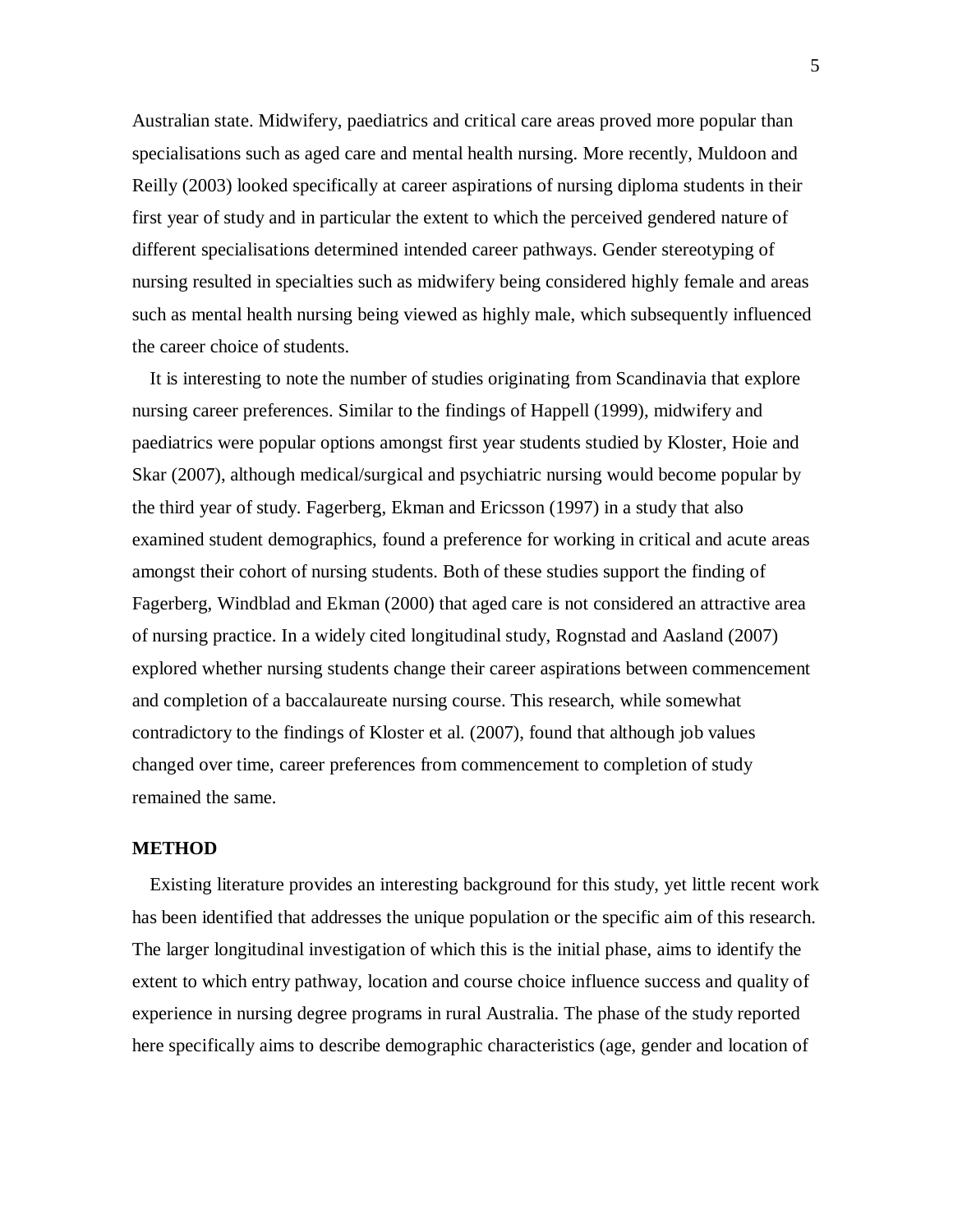Australian state. Midwifery, paediatrics and critical care areas proved more popular than specialisations such as aged care and mental health nursing. More recently, Muldoon and Reilly (2003) looked specifically at career aspirations of nursing diploma students in their first year of study and in particular the extent to which the perceived gendered nature of different specialisations determined intended career pathways. Gender stereotyping of nursing resulted in specialties such as midwifery being considered highly female and areas such as mental health nursing being viewed as highly male, which subsequently influenced the career choice of students.

It is interesting to note the number of studies originating from Scandinavia that explore nursing career preferences. Similar to the findings of Happell (1999), midwifery and paediatrics were popular options amongst first year students studied by Kloster, Hoie and Skar (2007), although medical/surgical and psychiatric nursing would become popular by the third year of study. Fagerberg, Ekman and Ericsson (1997) in a study that also examined student demographics, found a preference for working in critical and acute areas amongst their cohort of nursing students. Both of these studies support the finding of Fagerberg, Windblad and Ekman (2000) that aged care is not considered an attractive area of nursing practice. In a widely cited longitudinal study, Rognstad and Aasland (2007) explored whether nursing students change their career aspirations between commencement and completion of a baccalaureate nursing course. This research, while somewhat contradictory to the findings of Kloster et al. (2007), found that although job values changed over time, career preferences from commencement to completion of study remained the same.

## **METHOD**

Existing literature provides an interesting background for this study, yet little recent work has been identified that addresses the unique population or the specific aim of this research. The larger longitudinal investigation of which this is the initial phase, aims to identify the extent to which entry pathway, location and course choice influence success and quality of experience in nursing degree programs in rural Australia. The phase of the study reported here specifically aims to describe demographic characteristics (age, gender and location of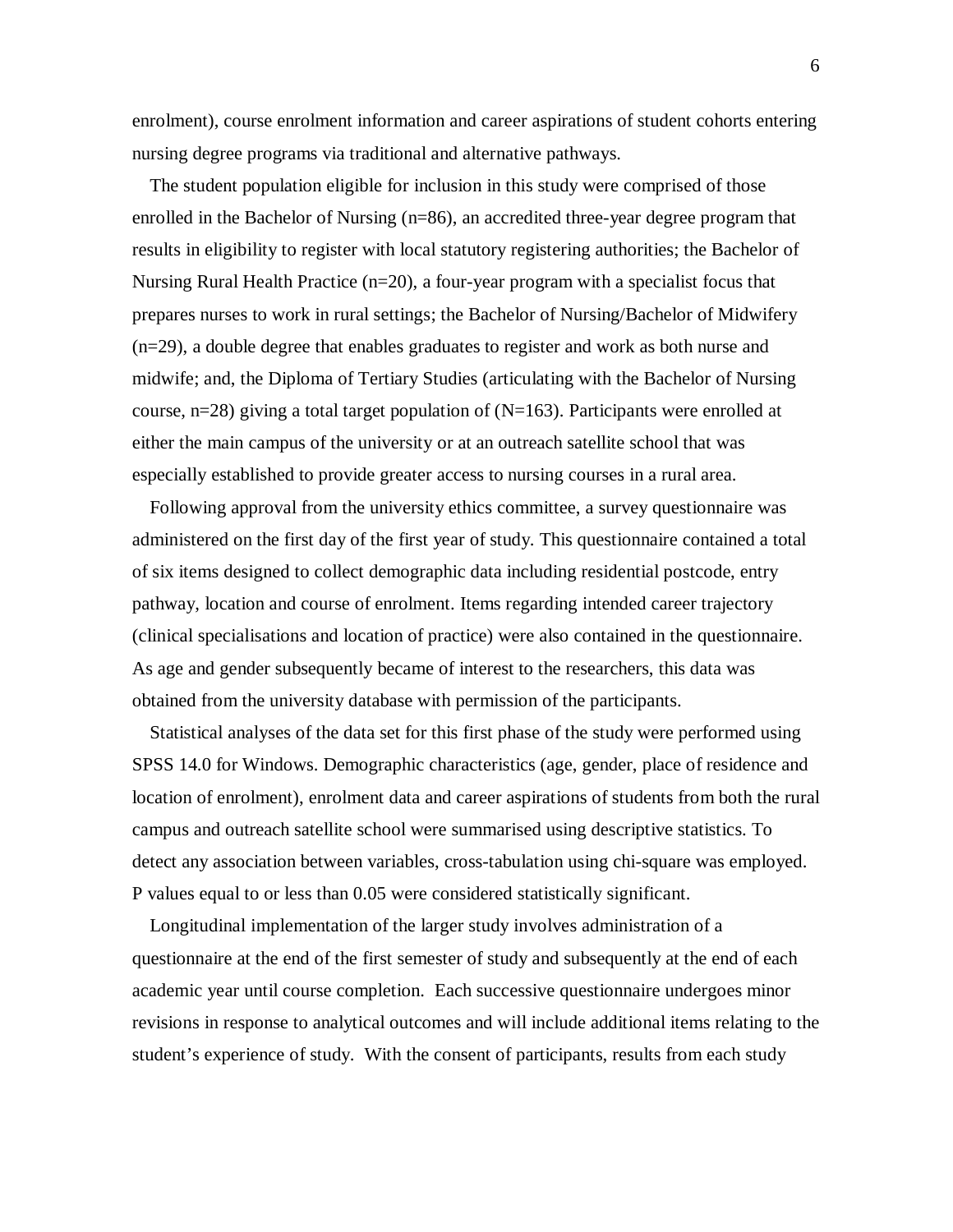enrolment), course enrolment information and career aspirations of student cohorts entering nursing degree programs via traditional and alternative pathways.

The student population eligible for inclusion in this study were comprised of those enrolled in the Bachelor of Nursing (n=86), an accredited three-year degree program that results in eligibility to register with local statutory registering authorities; the Bachelor of Nursing Rural Health Practice (n=20), a four-year program with a specialist focus that prepares nurses to work in rural settings; the Bachelor of Nursing/Bachelor of Midwifery (n=29), a double degree that enables graduates to register and work as both nurse and midwife; and, the Diploma of Tertiary Studies (articulating with the Bachelor of Nursing course,  $n=28$ ) giving a total target population of (N=163). Participants were enrolled at either the main campus of the university or at an outreach satellite school that was especially established to provide greater access to nursing courses in a rural area.

Following approval from the university ethics committee, a survey questionnaire was administered on the first day of the first year of study. This questionnaire contained a total of six items designed to collect demographic data including residential postcode, entry pathway, location and course of enrolment. Items regarding intended career trajectory (clinical specialisations and location of practice) were also contained in the questionnaire. As age and gender subsequently became of interest to the researchers, this data was obtained from the university database with permission of the participants.

Statistical analyses of the data set for this first phase of the study were performed using SPSS 14.0 for Windows. Demographic characteristics (age, gender, place of residence and location of enrolment), enrolment data and career aspirations of students from both the rural campus and outreach satellite school were summarised using descriptive statistics. To detect any association between variables, cross-tabulation using chi-square was employed. P values equal to or less than 0.05 were considered statistically significant.

Longitudinal implementation of the larger study involves administration of a questionnaire at the end of the first semester of study and subsequently at the end of each academic year until course completion. Each successive questionnaire undergoes minor revisions in response to analytical outcomes and will include additional items relating to the student's experience of study. With the consent of participants, results from each study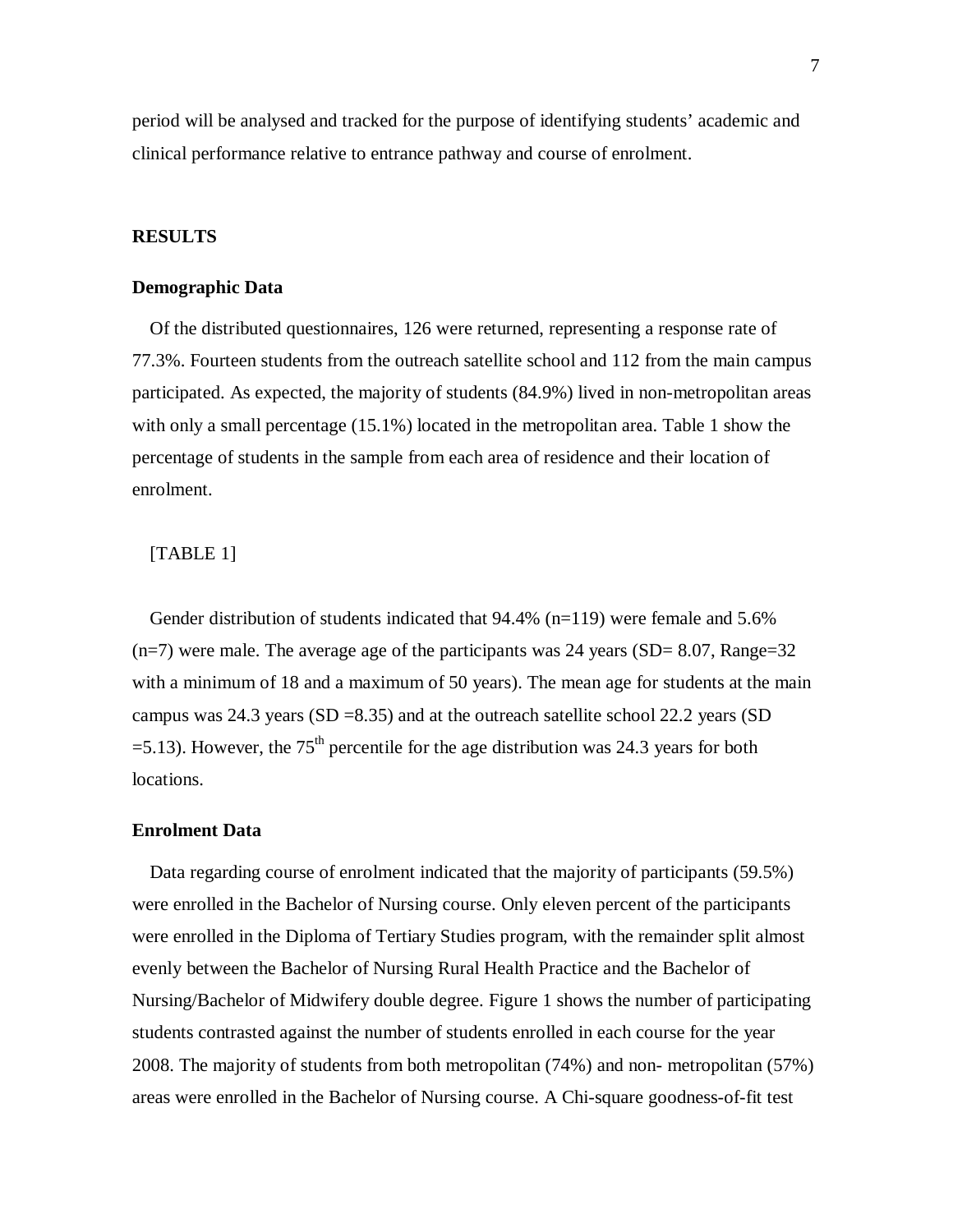period will be analysed and tracked for the purpose of identifying students' academic and clinical performance relative to entrance pathway and course of enrolment.

#### **RESULTS**

#### **Demographic Data**

Of the distributed questionnaires, 126 were returned, representing a response rate of 77.3%. Fourteen students from the outreach satellite school and 112 from the main campus participated. As expected, the majority of students (84.9%) lived in non-metropolitan areas with only a small percentage (15.1%) located in the metropolitan area. Table 1 show the percentage of students in the sample from each area of residence and their location of enrolment.

#### [TABLE 1]

Gender distribution of students indicated that  $94.4\%$  (n=119) were female and 5.6%  $(n=7)$  were male. The average age of the participants was 24 years (SD= 8.07, Range=32) with a minimum of 18 and a maximum of 50 years). The mean age for students at the main campus was 24.3 years (SD =8.35) and at the outreach satellite school 22.2 years (SD  $=$  5.13). However, the 75<sup>th</sup> percentile for the age distribution was 24.3 years for both locations.

#### **Enrolment Data**

Data regarding course of enrolment indicated that the majority of participants (59.5%) were enrolled in the Bachelor of Nursing course. Only eleven percent of the participants were enrolled in the Diploma of Tertiary Studies program, with the remainder split almost evenly between the Bachelor of Nursing Rural Health Practice and the Bachelor of Nursing/Bachelor of Midwifery double degree. Figure 1 shows the number of participating students contrasted against the number of students enrolled in each course for the year 2008. The majority of students from both metropolitan (74%) and non- metropolitan (57%) areas were enrolled in the Bachelor of Nursing course. A Chi-square goodness-of-fit test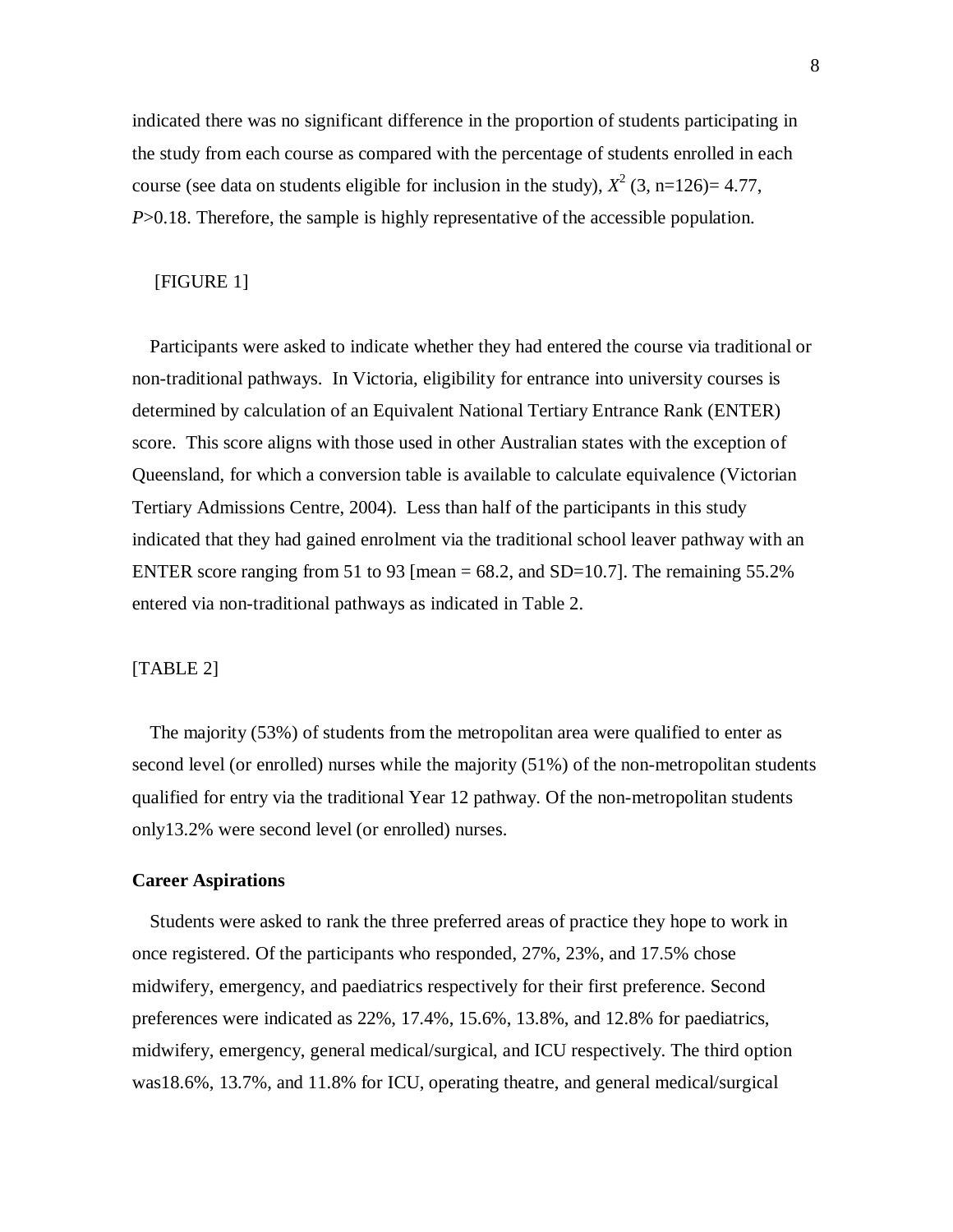indicated there was no significant difference in the proportion of students participating in the study from each course as compared with the percentage of students enrolled in each course (see data on students eligible for inclusion in the study),  $X^2$  (3, n=126)= 4.77, *P*>0.18. Therefore, the sample is highly representative of the accessible population.

# [FIGURE 1]

Participants were asked to indicate whether they had entered the course via traditional or non-traditional pathways. In Victoria, eligibility for entrance into university courses is determined by calculation of an Equivalent National Tertiary Entrance Rank (ENTER) score. This score aligns with those used in other Australian states with the exception of Queensland, for which a conversion table is available to calculate equivalence (Victorian Tertiary Admissions Centre, 2004). Less than half of the participants in this study indicated that they had gained enrolment via the traditional school leaver pathway with an ENTER score ranging from 51 to 93 [mean  $= 68.2$ , and SD=10.7]. The remaining 55.2% entered via non-traditional pathways as indicated in Table 2.

#### [TABLE 2]

The majority (53%) of students from the metropolitan area were qualified to enter as second level (or enrolled) nurses while the majority (51%) of the non-metropolitan students qualified for entry via the traditional Year 12 pathway. Of the non-metropolitan students only13.2% were second level (or enrolled) nurses.

#### **Career Aspirations**

Students were asked to rank the three preferred areas of practice they hope to work in once registered. Of the participants who responded, 27%, 23%, and 17.5% chose midwifery, emergency, and paediatrics respectively for their first preference. Second preferences were indicated as 22%, 17.4%, 15.6%, 13.8%, and 12.8% for paediatrics, midwifery, emergency, general medical/surgical, and ICU respectively. The third option was18.6%, 13.7%, and 11.8% for ICU, operating theatre, and general medical/surgical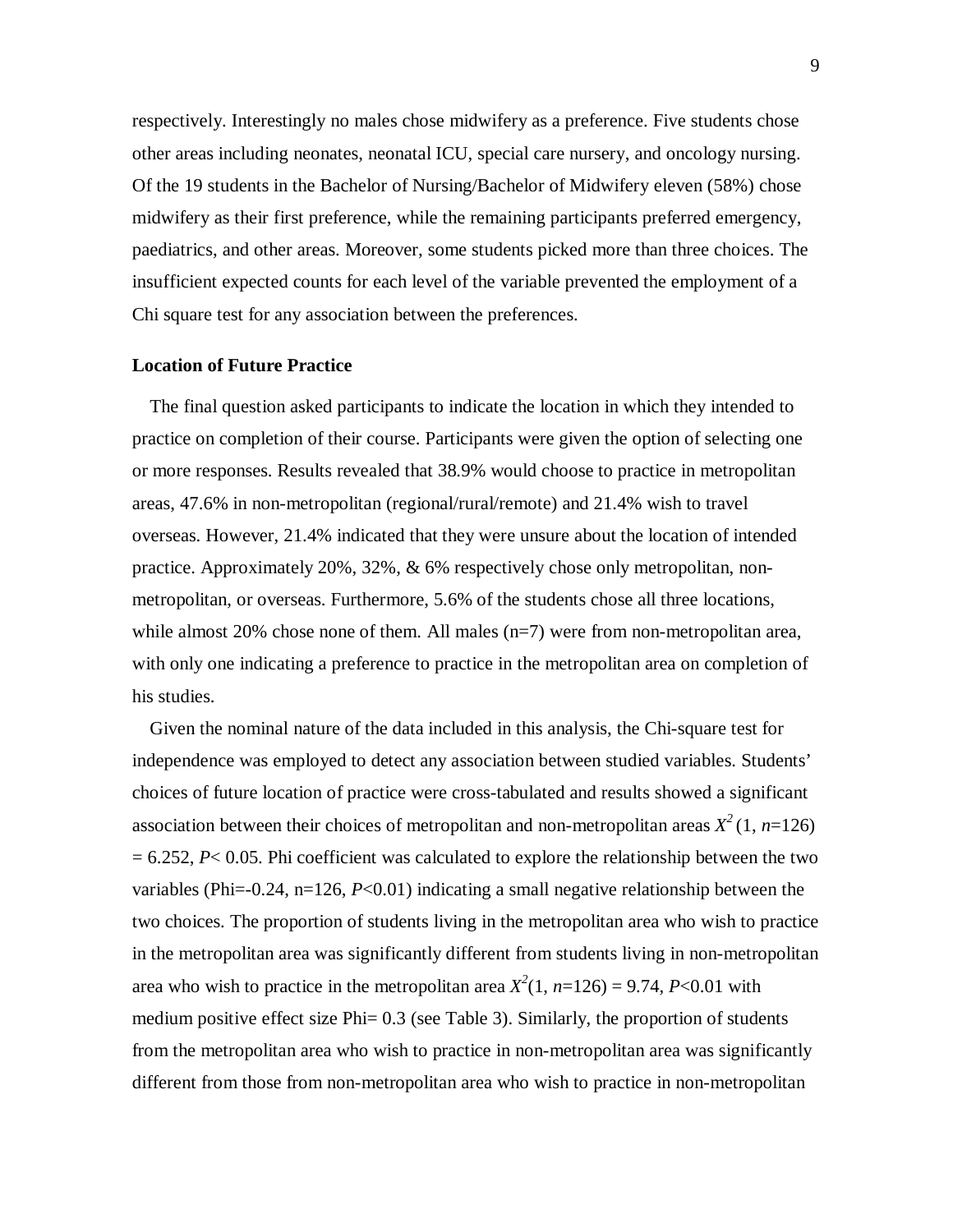respectively. Interestingly no males chose midwifery as a preference. Five students chose other areas including neonates, neonatal ICU, special care nursery, and oncology nursing. Of the 19 students in the Bachelor of Nursing/Bachelor of Midwifery eleven (58%) chose midwifery as their first preference, while the remaining participants preferred emergency, paediatrics, and other areas. Moreover, some students picked more than three choices. The insufficient expected counts for each level of the variable prevented the employment of a Chi square test for any association between the preferences.

#### **Location of Future Practice**

The final question asked participants to indicate the location in which they intended to practice on completion of their course. Participants were given the option of selecting one or more responses. Results revealed that 38.9% would choose to practice in metropolitan areas, 47.6% in non-metropolitan (regional/rural/remote) and 21.4% wish to travel overseas. However, 21.4% indicated that they were unsure about the location of intended practice. Approximately 20%, 32%, & 6% respectively chose only metropolitan, nonmetropolitan, or overseas. Furthermore, 5.6% of the students chose all three locations, while almost 20% chose none of them. All males (n=7) were from non-metropolitan area, with only one indicating a preference to practice in the metropolitan area on completion of his studies.

Given the nominal nature of the data included in this analysis, the Chi-square test for independence was employed to detect any association between studied variables. Students' choices of future location of practice were cross-tabulated and results showed a significant association between their choices of metropolitan and non-metropolitan areas  $X^2(1, n=126)$ = 6.252, *P*< 0.05. Phi coefficient was calculated to explore the relationship between the two variables (Phi=-0.24, n=126, *P*<0.01) indicating a small negative relationship between the two choices. The proportion of students living in the metropolitan area who wish to practice in the metropolitan area was significantly different from students living in non-metropolitan area who wish to practice in the metropolitan area  $X^2(1, n=126) = 9.74$ , *P*<0.01 with medium positive effect size Phi= 0.3 (see Table 3). Similarly, the proportion of students from the metropolitan area who wish to practice in non-metropolitan area was significantly different from those from non-metropolitan area who wish to practice in non-metropolitan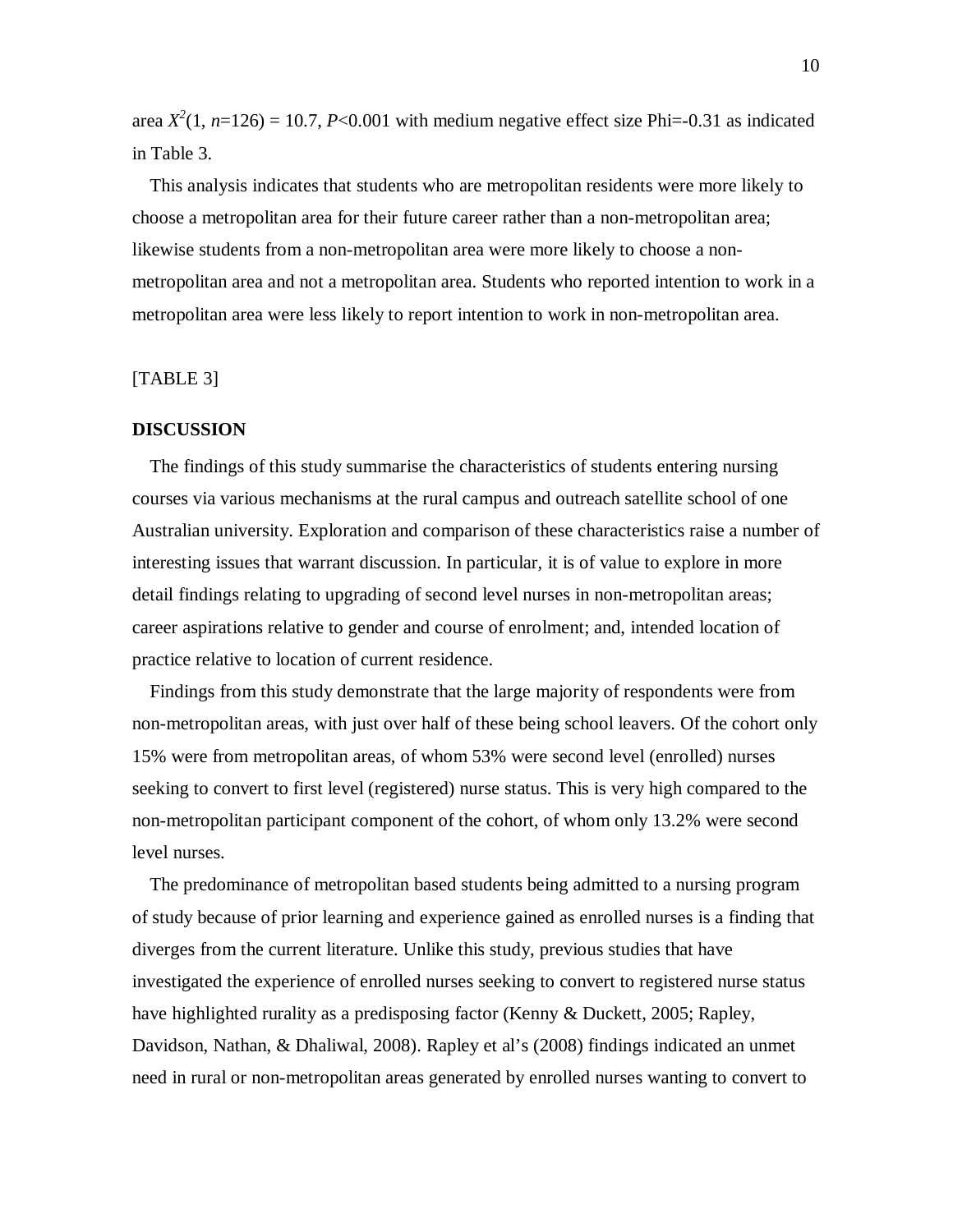area  $X^2(1, n=126) = 10.7$ , *P*<0.001 with medium negative effect size Phi=-0.31 as indicated in Table 3.

This analysis indicates that students who are metropolitan residents were more likely to choose a metropolitan area for their future career rather than a non-metropolitan area; likewise students from a non-metropolitan area were more likely to choose a nonmetropolitan area and not a metropolitan area. Students who reported intention to work in a metropolitan area were less likely to report intention to work in non-metropolitan area.

#### [TABLE 3]

#### **DISCUSSION**

The findings of this study summarise the characteristics of students entering nursing courses via various mechanisms at the rural campus and outreach satellite school of one Australian university. Exploration and comparison of these characteristics raise a number of interesting issues that warrant discussion. In particular, it is of value to explore in more detail findings relating to upgrading of second level nurses in non-metropolitan areas; career aspirations relative to gender and course of enrolment; and, intended location of practice relative to location of current residence.

Findings from this study demonstrate that the large majority of respondents were from non-metropolitan areas, with just over half of these being school leavers. Of the cohort only 15% were from metropolitan areas, of whom 53% were second level (enrolled) nurses seeking to convert to first level (registered) nurse status. This is very high compared to the non-metropolitan participant component of the cohort, of whom only 13.2% were second level nurses.

The predominance of metropolitan based students being admitted to a nursing program of study because of prior learning and experience gained as enrolled nurses is a finding that diverges from the current literature. Unlike this study, previous studies that have investigated the experience of enrolled nurses seeking to convert to registered nurse status have highlighted rurality as a predisposing factor (Kenny & Duckett, 2005; Rapley, Davidson, Nathan, & Dhaliwal, 2008). Rapley et al's (2008) findings indicated an unmet need in rural or non-metropolitan areas generated by enrolled nurses wanting to convert to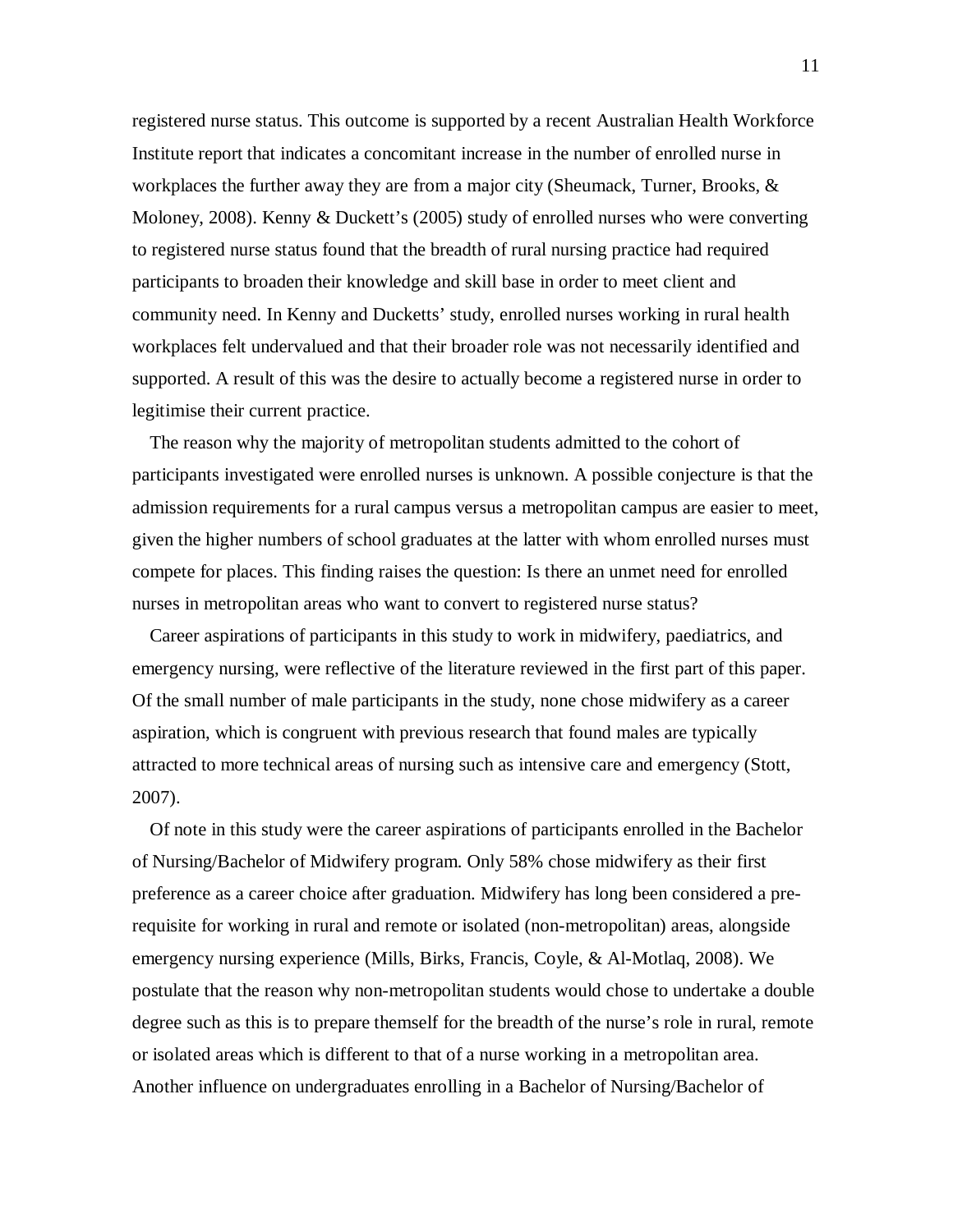registered nurse status. This outcome is supported by a recent Australian Health Workforce Institute report that indicates a concomitant increase in the number of enrolled nurse in workplaces the further away they are from a major city (Sheumack, Turner, Brooks,  $\&$ Moloney, 2008). Kenny & Duckett's (2005) study of enrolled nurses who were converting to registered nurse status found that the breadth of rural nursing practice had required participants to broaden their knowledge and skill base in order to meet client and community need. In Kenny and Ducketts' study, enrolled nurses working in rural health workplaces felt undervalued and that their broader role was not necessarily identified and supported. A result of this was the desire to actually become a registered nurse in order to legitimise their current practice.

The reason why the majority of metropolitan students admitted to the cohort of participants investigated were enrolled nurses is unknown. A possible conjecture is that the admission requirements for a rural campus versus a metropolitan campus are easier to meet, given the higher numbers of school graduates at the latter with whom enrolled nurses must compete for places. This finding raises the question: Is there an unmet need for enrolled nurses in metropolitan areas who want to convert to registered nurse status?

Career aspirations of participants in this study to work in midwifery, paediatrics, and emergency nursing, were reflective of the literature reviewed in the first part of this paper. Of the small number of male participants in the study, none chose midwifery as a career aspiration, which is congruent with previous research that found males are typically attracted to more technical areas of nursing such as intensive care and emergency (Stott, 2007).

Of note in this study were the career aspirations of participants enrolled in the Bachelor of Nursing/Bachelor of Midwifery program. Only 58% chose midwifery as their first preference as a career choice after graduation. Midwifery has long been considered a prerequisite for working in rural and remote or isolated (non-metropolitan) areas, alongside emergency nursing experience (Mills, Birks, Francis, Coyle, & Al-Motlaq, 2008). We postulate that the reason why non-metropolitan students would chose to undertake a double degree such as this is to prepare themself for the breadth of the nurse's role in rural, remote or isolated areas which is different to that of a nurse working in a metropolitan area. Another influence on undergraduates enrolling in a Bachelor of Nursing/Bachelor of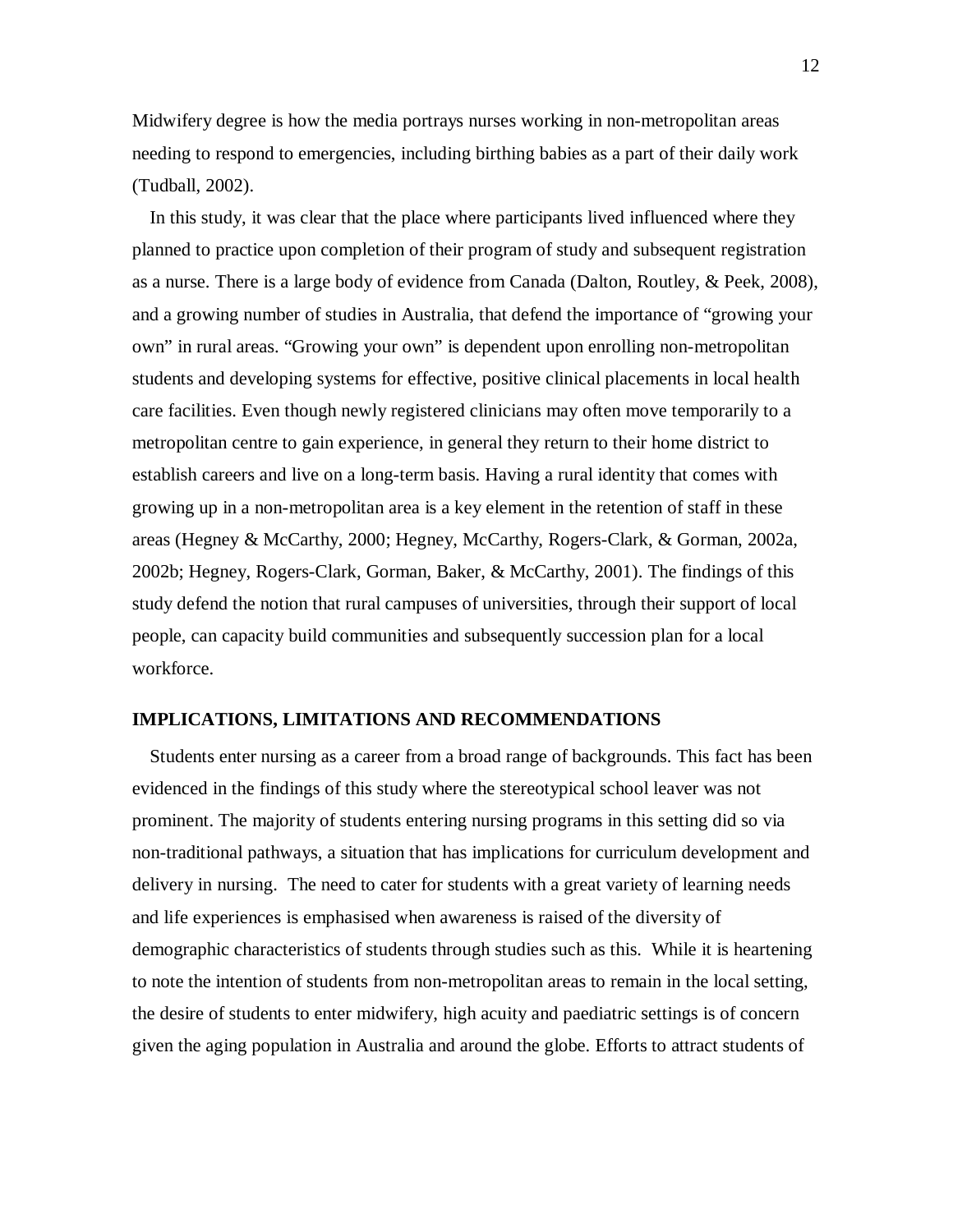Midwifery degree is how the media portrays nurses working in non-metropolitan areas needing to respond to emergencies, including birthing babies as a part of their daily work (Tudball, 2002).

In this study, it was clear that the place where participants lived influenced where they planned to practice upon completion of their program of study and subsequent registration as a nurse. There is a large body of evidence from Canada (Dalton, Routley, & Peek, 2008), and a growing number of studies in Australia, that defend the importance of "growing your own" in rural areas. "Growing your own" is dependent upon enrolling non-metropolitan students and developing systems for effective, positive clinical placements in local health care facilities. Even though newly registered clinicians may often move temporarily to a metropolitan centre to gain experience, in general they return to their home district to establish careers and live on a long-term basis. Having a rural identity that comes with growing up in a non-metropolitan area is a key element in the retention of staff in these areas (Hegney & McCarthy, 2000; Hegney, McCarthy, Rogers-Clark, & Gorman, 2002a, 2002b; Hegney, Rogers-Clark, Gorman, Baker, & McCarthy, 2001). The findings of this study defend the notion that rural campuses of universities, through their support of local people, can capacity build communities and subsequently succession plan for a local workforce.

#### **IMPLICATIONS, LIMITATIONS AND RECOMMENDATIONS**

Students enter nursing as a career from a broad range of backgrounds. This fact has been evidenced in the findings of this study where the stereotypical school leaver was not prominent. The majority of students entering nursing programs in this setting did so via non-traditional pathways, a situation that has implications for curriculum development and delivery in nursing. The need to cater for students with a great variety of learning needs and life experiences is emphasised when awareness is raised of the diversity of demographic characteristics of students through studies such as this. While it is heartening to note the intention of students from non-metropolitan areas to remain in the local setting, the desire of students to enter midwifery, high acuity and paediatric settings is of concern given the aging population in Australia and around the globe. Efforts to attract students of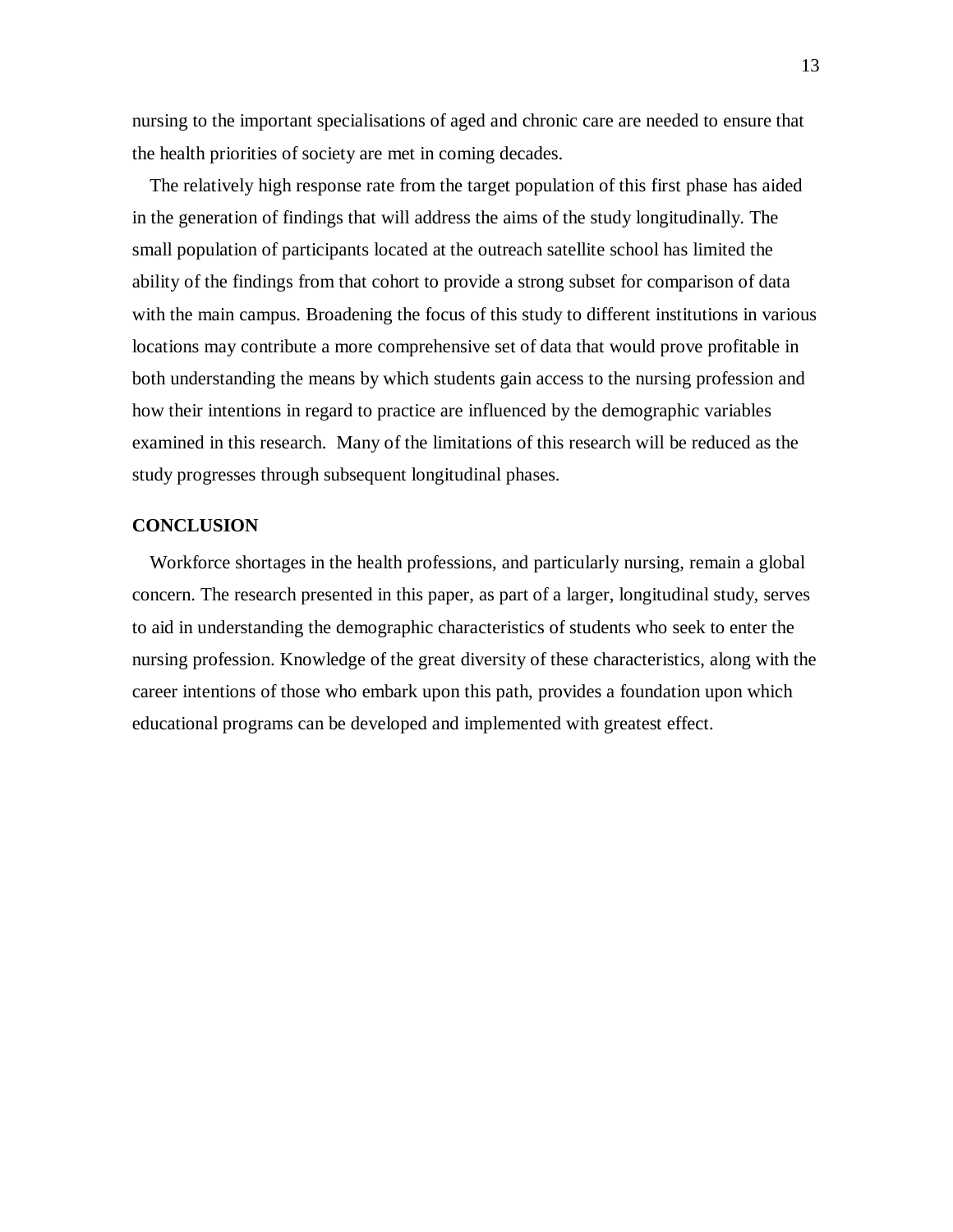nursing to the important specialisations of aged and chronic care are needed to ensure that the health priorities of society are met in coming decades.

The relatively high response rate from the target population of this first phase has aided in the generation of findings that will address the aims of the study longitudinally. The small population of participants located at the outreach satellite school has limited the ability of the findings from that cohort to provide a strong subset for comparison of data with the main campus. Broadening the focus of this study to different institutions in various locations may contribute a more comprehensive set of data that would prove profitable in both understanding the means by which students gain access to the nursing profession and how their intentions in regard to practice are influenced by the demographic variables examined in this research. Many of the limitations of this research will be reduced as the study progresses through subsequent longitudinal phases.

#### **CONCLUSION**

Workforce shortages in the health professions, and particularly nursing, remain a global concern. The research presented in this paper, as part of a larger, longitudinal study, serves to aid in understanding the demographic characteristics of students who seek to enter the nursing profession. Knowledge of the great diversity of these characteristics, along with the career intentions of those who embark upon this path, provides a foundation upon which educational programs can be developed and implemented with greatest effect.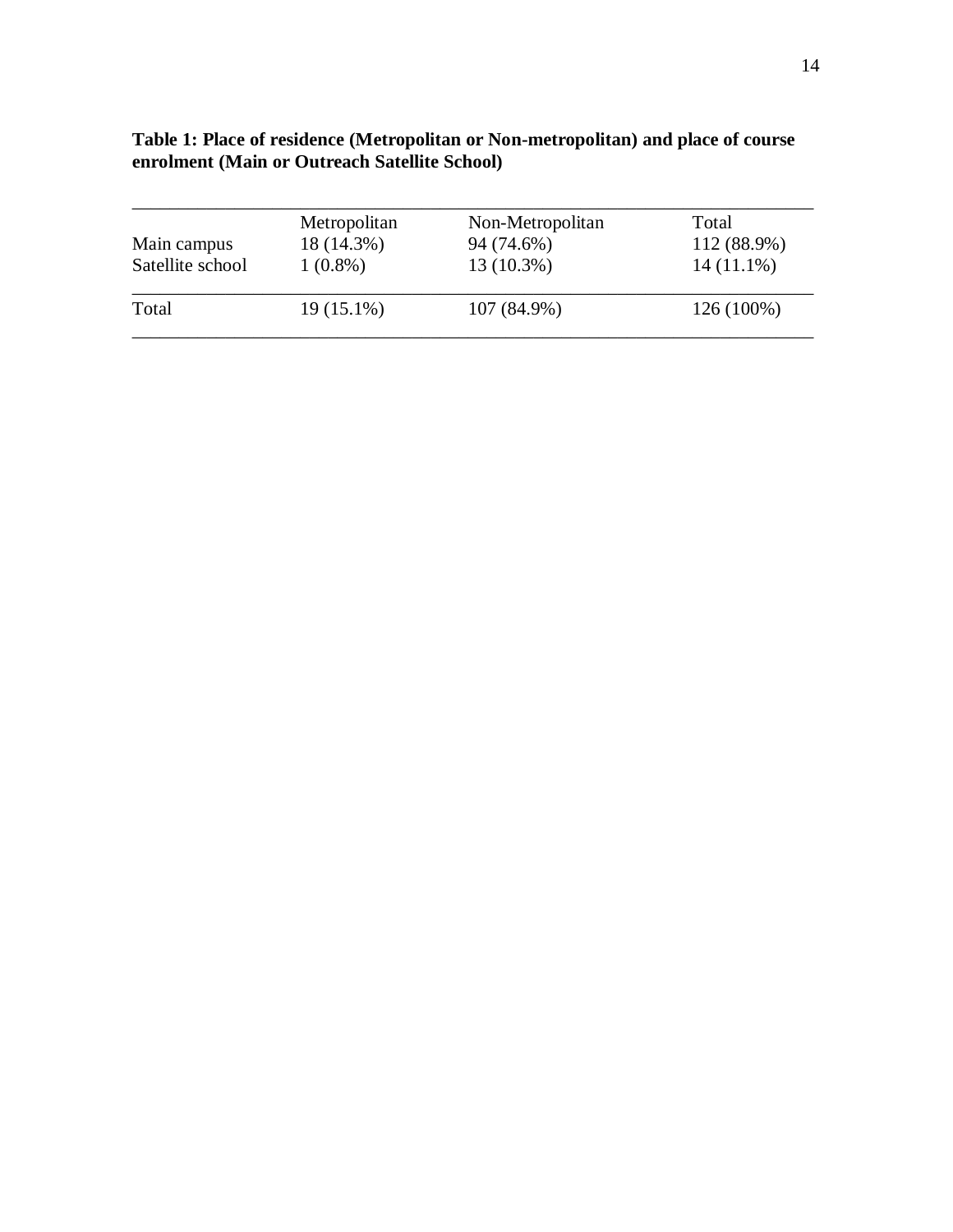| Main campus      | Metropolitan<br>18 (14.3%) | Non-Metropolitan<br>94 (74.6%) | Total<br>112 (88.9%) |
|------------------|----------------------------|--------------------------------|----------------------|
| Satellite school | $1(0.8\%)$                 | 13 (10.3%)                     | $14(11.1\%)$         |
| Total            | 19 (15.1%)                 | 107 (84.9%)                    | 126 (100%)           |

| Table 1: Place of residence (Metropolitan or Non-metropolitan) and place of course |
|------------------------------------------------------------------------------------|
| enrolment (Main or Outreach Satellite School)                                      |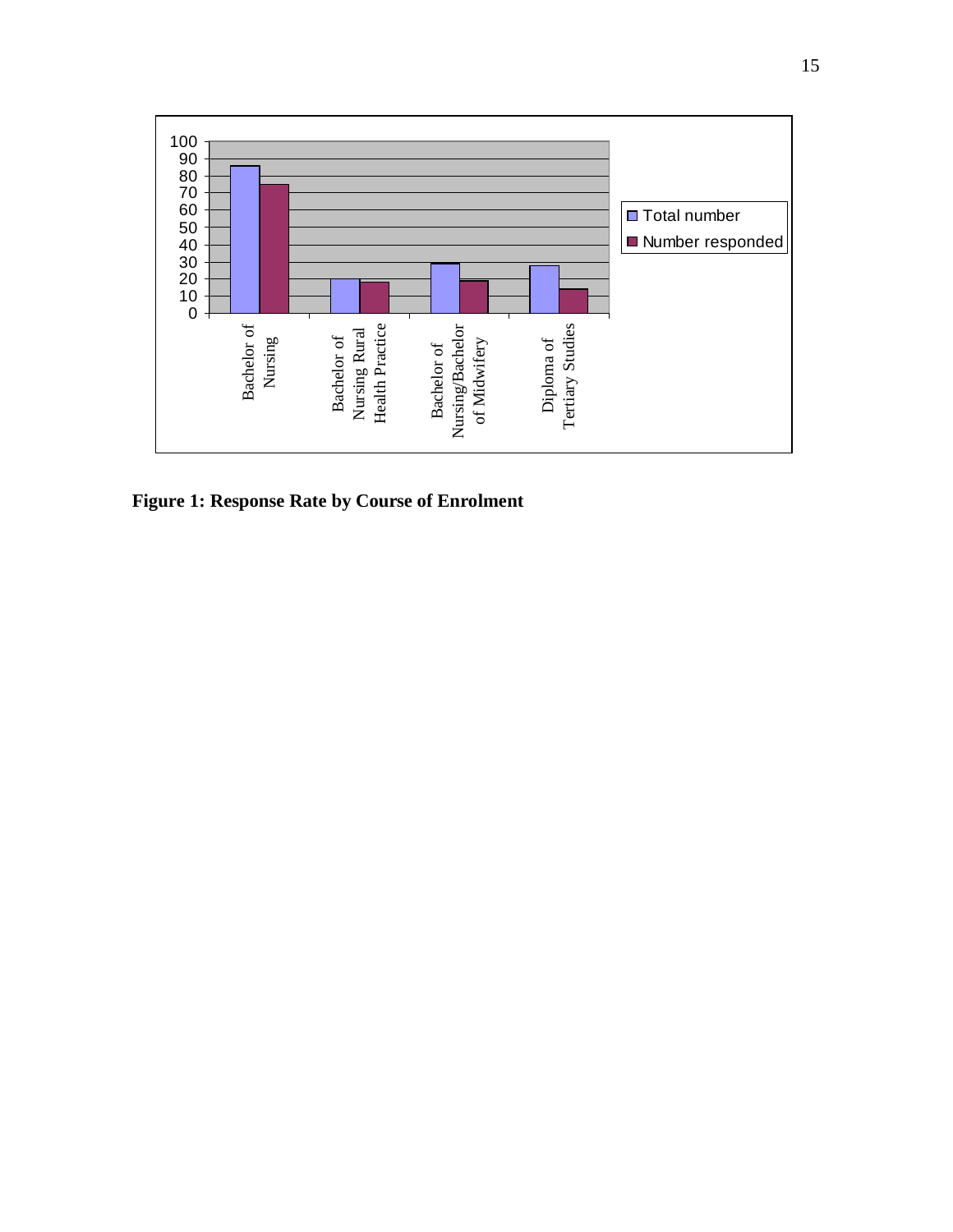

**Figure 1: Response Rate by Course of Enrolment**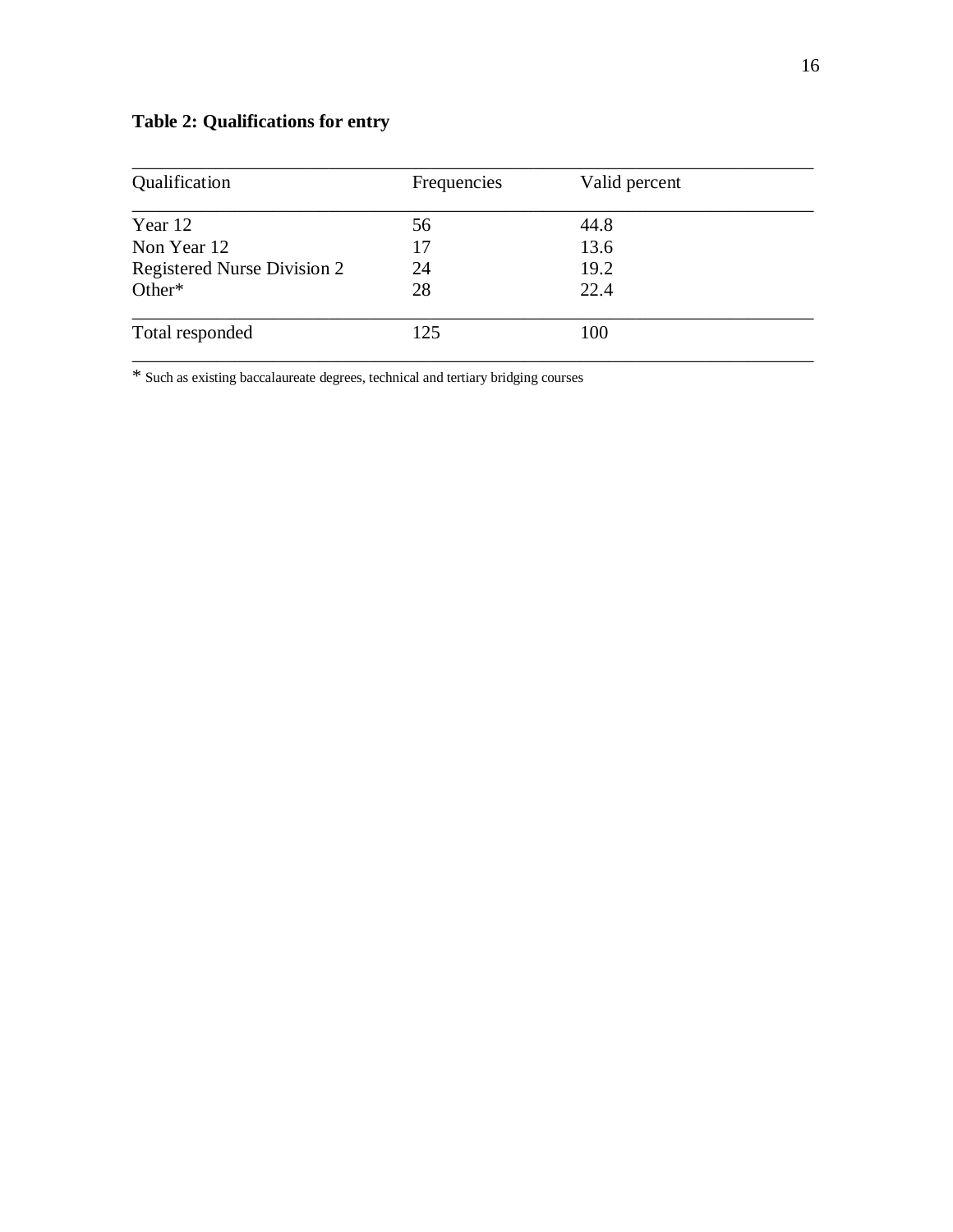# **Table 2: Qualifications for entry**

| Qualification                      | Frequencies | Valid percent |  |
|------------------------------------|-------------|---------------|--|
| Year 12                            | 56          | 44.8          |  |
| Non Year 12                        | 17          | 13.6          |  |
| <b>Registered Nurse Division 2</b> | 24          | 19.2          |  |
| Other*                             | 28          | 22.4          |  |
| Total responded                    | 125         | 100           |  |

\* Such as existing baccalaureate degrees, technical and tertiary bridging courses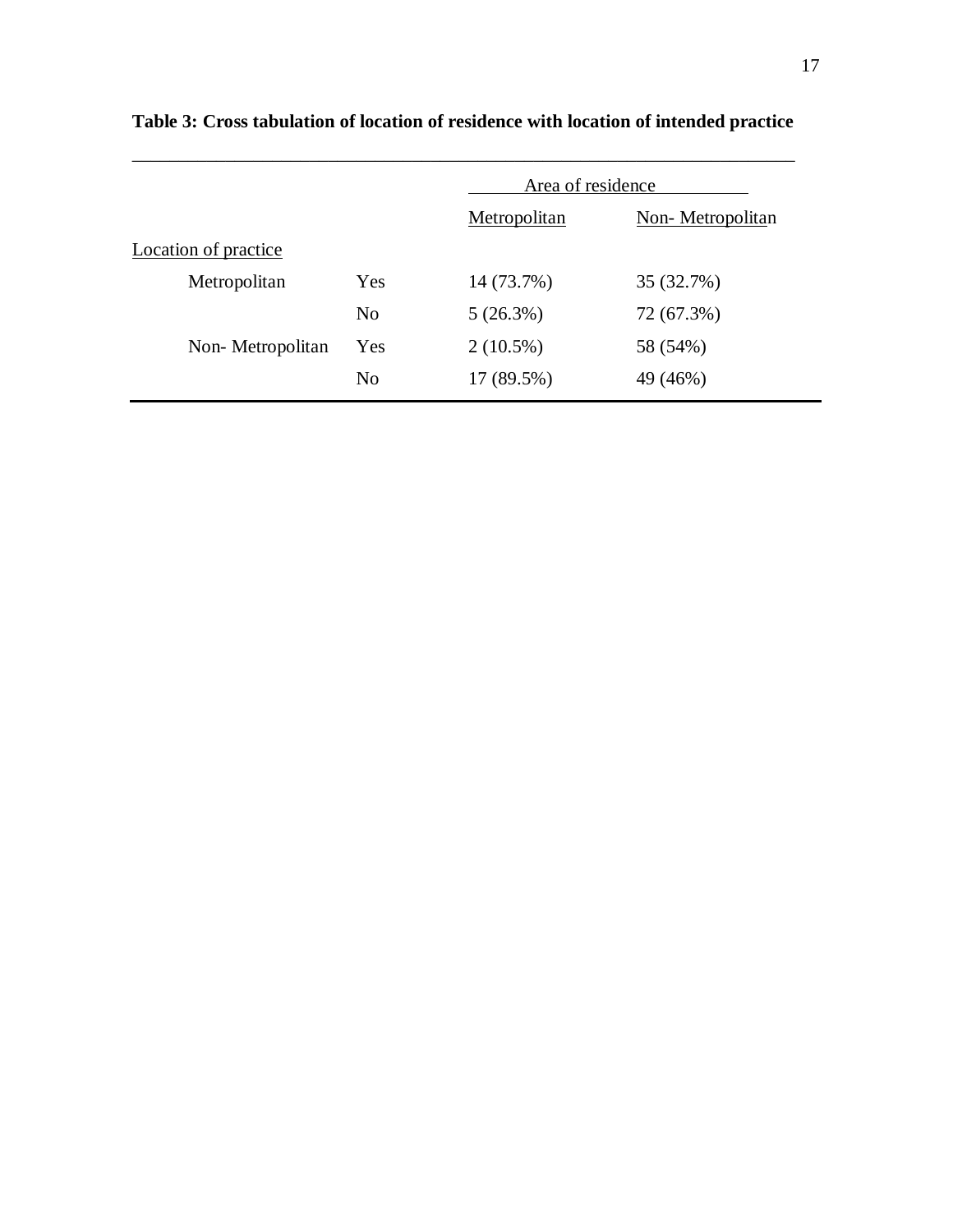|                      |                | Area of residence |                  |
|----------------------|----------------|-------------------|------------------|
|                      |                | Metropolitan      | Non-Metropolitan |
| Location of practice |                |                   |                  |
| Metropolitan         | Yes            | 14 (73.7%)        | 35 (32.7%)       |
|                      | N <sub>0</sub> | 5(26.3%)          | 72 (67.3%)       |
| Non-Metropolitan     | Yes            | $2(10.5\%)$       | 58 (54%)         |
|                      | No             | 17 (89.5%)        | 49 (46%)         |

# **Table 3: Cross tabulation of location of residence with location of intended practice**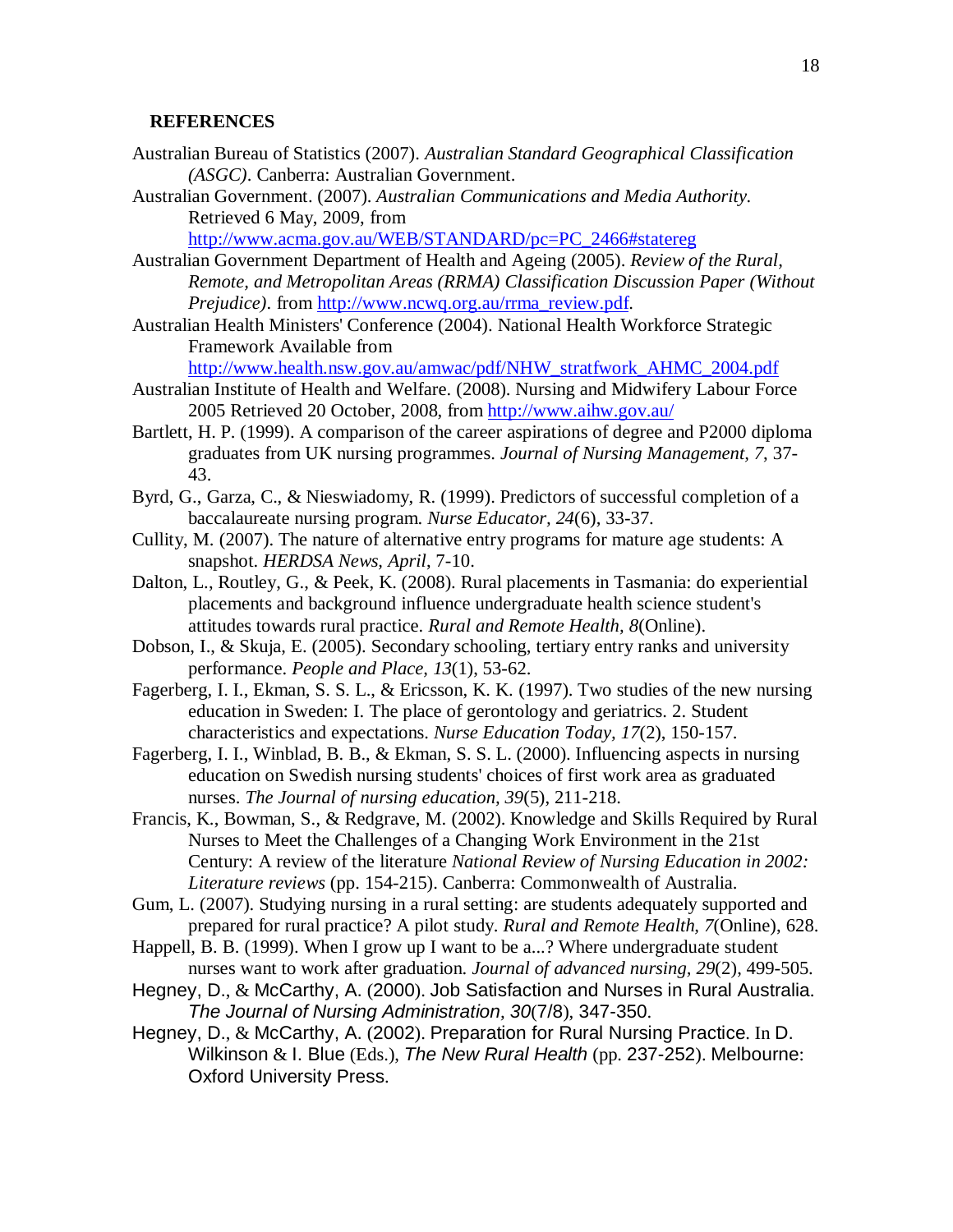#### **REFERENCES**

- Australian Bureau of Statistics (2007). *Australian Standard Geographical Classification (ASGC)*. Canberra: Australian Government.
- Australian Government. (2007). *Australian Communications and Media Authority.* Retrieved 6 May, 2009, from

[http://www.acma.gov.au/WEB/STANDARD/pc=PC\\_2466#statereg](http://www.acma.gov.au/WEB/STANDARD/pc=PC_2466#statereg)

Australian Government Department of Health and Ageing (2005). *Review of the Rural, Remote, and Metropolitan Areas (RRMA) Classification Discussion Paper (Without Prejudice*). from [http://www.ncwq.org.au/rrma\\_review.pdf.](http://www.ncwq.org.au/rrma_review.pdf)

Australian Health Ministers' Conference (2004). National Health Workforce Strategic Framework Available from

[http://www.health.nsw.gov.au/amwac/pdf/NHW\\_stratfwork\\_AHMC\\_2004.pdf](http://www.health.nsw.gov.au/amwac/pdf/NHW_stratfwork_AHMC_2004.pdf)

- Australian Institute of Health and Welfare. (2008). Nursing and Midwifery Labour Force 2005 Retrieved 20 October, 2008, from<http://www.aihw.gov.au/>
- Bartlett, H. P. (1999). A comparison of the career aspirations of degree and P2000 diploma graduates from UK nursing programmes. *Journal of Nursing Management, 7*, 37- 43.
- Byrd, G., Garza, C., & Nieswiadomy, R. (1999). Predictors of successful completion of a baccalaureate nursing program. *Nurse Educator, 24*(6), 33-37.
- Cullity, M. (2007). The nature of alternative entry programs for mature age students: A snapshot. *HERDSA News, April*, 7-10.
- Dalton, L., Routley, G., & Peek, K. (2008). Rural placements in Tasmania: do experiential placements and background influence undergraduate health science student's attitudes towards rural practice. *Rural and Remote Health, 8*(Online).
- Dobson, I., & Skuja, E. (2005). Secondary schooling, tertiary entry ranks and university performance. *People and Place, 13*(1), 53-62.
- Fagerberg, I. I., Ekman, S. S. L., & Ericsson, K. K. (1997). Two studies of the new nursing education in Sweden: I. The place of gerontology and geriatrics. 2. Student characteristics and expectations. *Nurse Education Today, 17*(2), 150-157.
- Fagerberg, I. I., Winblad, B. B., & Ekman, S. S. L. (2000). Influencing aspects in nursing education on Swedish nursing students' choices of first work area as graduated nurses. *The Journal of nursing education, 39*(5), 211-218.
- Francis, K., Bowman, S., & Redgrave, M. (2002). Knowledge and Skills Required by Rural Nurses to Meet the Challenges of a Changing Work Environment in the 21st Century: A review of the literature *National Review of Nursing Education in 2002: Literature reviews* (pp. 154-215). Canberra: Commonwealth of Australia.
- Gum, L. (2007). Studying nursing in a rural setting: are students adequately supported and prepared for rural practice? A pilot study. *Rural and Remote Health, 7*(Online), 628.
- Happell, B. B. (1999). When I grow up I want to be a...? Where undergraduate student nurses want to work after graduation. *Journal of advanced nursing, 29*(2), 499-505.
- Hegney, D., & McCarthy, A. (2000). Job Satisfaction and Nurses in Rural Australia. *The Journal of Nursing Administration, 30*(7/8), 347-350.
- Hegney, D., & McCarthy, A. (2002). Preparation for Rural Nursing Practice. In D. Wilkinson & I. Blue (Eds.), *The New Rural Health* (pp. 237-252). Melbourne: Oxford University Press.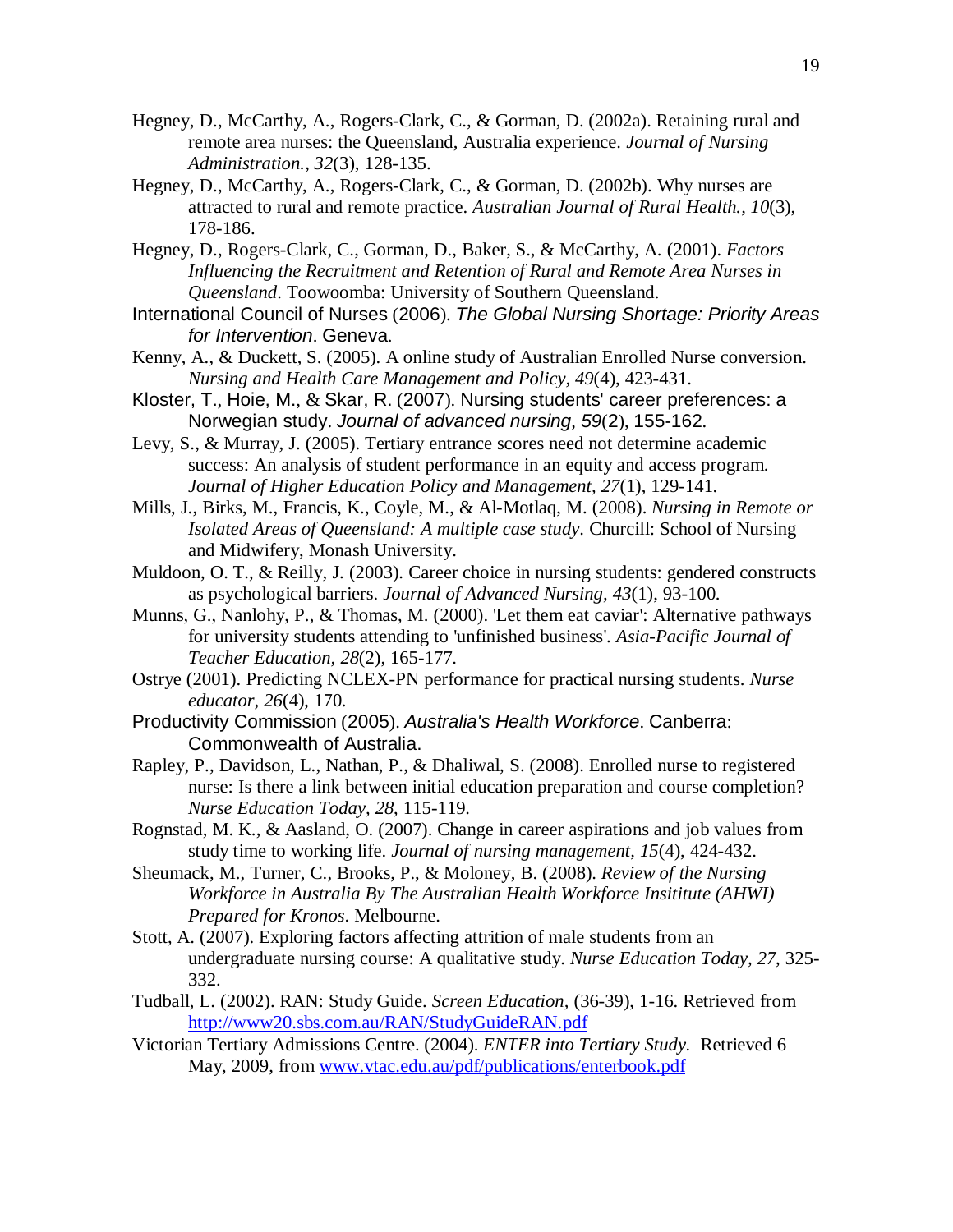- Hegney, D., McCarthy, A., Rogers-Clark, C., & Gorman, D. (2002a). Retaining rural and remote area nurses: the Queensland, Australia experience. *Journal of Nursing Administration., 32*(3), 128-135.
- Hegney, D., McCarthy, A., Rogers-Clark, C., & Gorman, D. (2002b). Why nurses are attracted to rural and remote practice. *Australian Journal of Rural Health., 10*(3), 178-186.
- Hegney, D., Rogers-Clark, C., Gorman, D., Baker, S., & McCarthy, A. (2001). *Factors Influencing the Recruitment and Retention of Rural and Remote Area Nurses in Queensland*. Toowoomba: University of Southern Queensland.
- International Council of Nurses (2006). *The Global Nursing Shortage: Priority Areas for Intervention*. Geneva.
- Kenny, A., & Duckett, S. (2005). A online study of Australian Enrolled Nurse conversion. *Nursing and Health Care Management and Policy, 49*(4), 423-431.
- Kloster, T., Hoie, M., & Skar, R. (2007). Nursing students' career preferences: a Norwegian study. *Journal of advanced nursing, 59*(2), 155-162.
- Levy, S., & Murray, J. (2005). Tertiary entrance scores need not determine academic success: An analysis of student performance in an equity and access program. *Journal of Higher Education Policy and Management, 27*(1), 129-141.
- Mills, J., Birks, M., Francis, K., Coyle, M., & Al-Motlaq, M. (2008). *Nursing in Remote or Isolated Areas of Queensland: A multiple case study*. Churcill: School of Nursing and Midwifery, Monash University.
- Muldoon, O. T., & Reilly, J. (2003). Career choice in nursing students: gendered constructs as psychological barriers. *Journal of Advanced Nursing, 43*(1), 93-100.
- Munns, G., Nanlohy, P., & Thomas, M. (2000). 'Let them eat caviar': Alternative pathways for university students attending to 'unfinished business'. *Asia-Pacific Journal of Teacher Education, 28*(2), 165-177.
- Ostrye (2001). Predicting NCLEX-PN performance for practical nursing students. *Nurse educator, 26*(4), 170.
- Productivity Commission (2005). *Australia's Health Workforce*. Canberra: Commonwealth of Australia.
- Rapley, P., Davidson, L., Nathan, P., & Dhaliwal, S. (2008). Enrolled nurse to registered nurse: Is there a link between initial education preparation and course completion? *Nurse Education Today, 28*, 115-119.
- Rognstad, M. K., & Aasland, O. (2007). Change in career aspirations and job values from study time to working life. *Journal of nursing management, 15*(4), 424-432.
- Sheumack, M., Turner, C., Brooks, P., & Moloney, B. (2008). *Review of the Nursing Workforce in Australia By The Australian Health Workforce Insititute (AHWI) Prepared for Kronos*. Melbourne.
- Stott, A. (2007). Exploring factors affecting attrition of male students from an undergraduate nursing course: A qualitative study. *Nurse Education Today, 27*, 325- 332.
- Tudball, L. (2002). RAN: Study Guide. *Screen Education,* (36-39), 1-16. Retrieved from <http://www20.sbs.com.au/RAN/StudyGuideRAN.pdf>
- Victorian Tertiary Admissions Centre. (2004). *ENTER into Tertiary Study.* Retrieved 6 May, 2009, from [www.vtac.edu.au/pdf/publications/enterbook.pdf](http://www.vtac.edu.au/pdf/publications/enterbook.pdf)